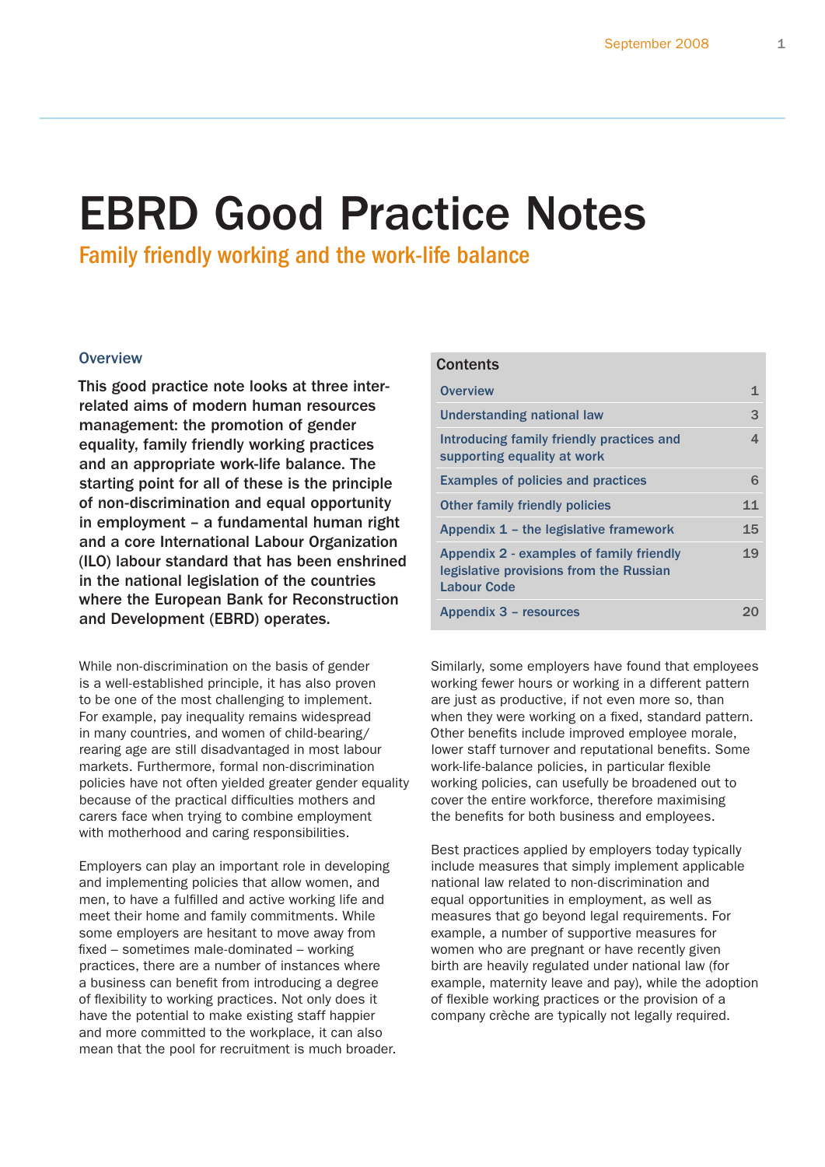# EBRD Good Practice Notes

Family friendly working and the work-life balance

# **Overview**

This good practice note looks at three interrelated aims of modern human resources management: the promotion of gender equality, family friendly working practices and an appropriate work-life balance. The starting point for all of these is the principle of non-discrimination and equal opportunity in employment – a fundamental human right and a core International Labour Organization (ILO) labour standard that has been enshrined in the national legislation of the countries where the European Bank for Reconstruction and Development (EBRD) operates.

While non-discrimination on the basis of gender is a well-established principle, it has also proven to be one of the most challenging to implement. For example, pay inequality remains widespread in many countries, and women of child-bearing/ rearing age are still disadvantaged in most labour markets. Furthermore, formal non-discrimination policies have not often yielded greater gender equality because of the practical difficulties mothers and carers face when trying to combine employment with motherhood and caring responsibilities.

Employers can play an important role in developing and implementing policies that allow women, and men, to have a fulfilled and active working life and meet their home and family commitments. While some employers are hesitant to move away from fixed – sometimes male-dominated – working practices, there are a number of instances where a business can benefit from introducing a degree of flexibility to working practices. Not only does it have the potential to make existing staff happier and more committed to the workplace, it can also mean that the pool for recruitment is much broader.

| <b>Contents</b>                                                                                           |    |
|-----------------------------------------------------------------------------------------------------------|----|
| <b>Overview</b>                                                                                           | 1  |
| <b>Understanding national law</b>                                                                         | 3  |
| Introducing family friendly practices and<br>supporting equality at work                                  | 4  |
| <b>Examples of policies and practices</b>                                                                 | 6  |
| <b>Other family friendly policies</b>                                                                     | 11 |
| Appendix $1$ – the legislative framework                                                                  | 15 |
| Appendix 2 - examples of family friendly<br>legislative provisions from the Russian<br><b>Labour Code</b> | 19 |
| Appendix 3 – resources                                                                                    |    |

Similarly, some employers have found that employees working fewer hours or working in a different pattern are just as productive, if not even more so, than when they were working on a fixed, standard pattern. Other benefits include improved employee morale, lower staff turnover and reputational benefits. Some work-life-balance policies, in particular flexible working policies, can usefully be broadened out to cover the entire workforce, therefore maximising the benefits for both business and employees.

Best practices applied by employers today typically include measures that simply implement applicable national law related to non-discrimination and equal opportunities in employment, as well as measures that go beyond legal requirements. For example, a number of supportive measures for women who are pregnant or have recently given birth are heavily regulated under national law (for example, maternity leave and pay), while the adoption of flexible working practices or the provision of a company crèche are typically not legally required.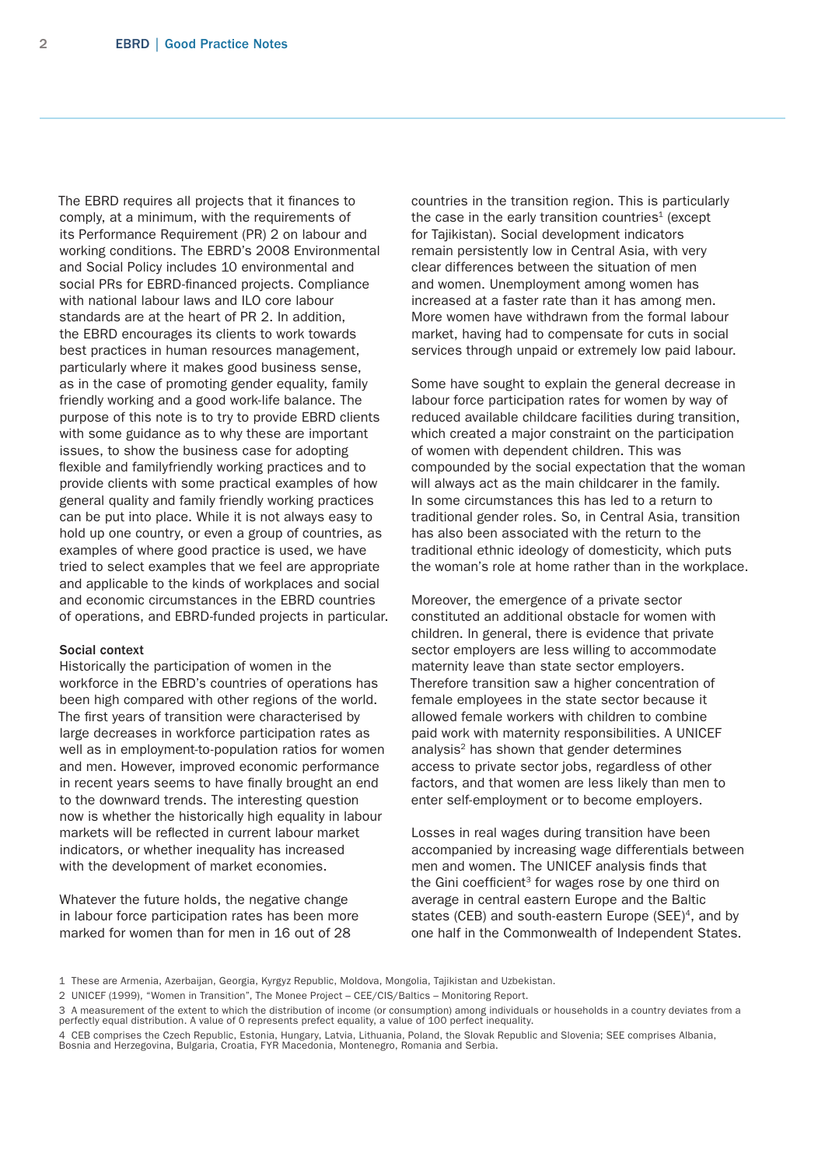The EBRD requires all projects that it finances to comply, at a minimum, with the requirements of its Performance Requirement (PR) 2 on labour and working conditions. The EBRD's 2008 Environmental and Social Policy includes 10 environmental and social PRs for EBRD-financed projects. Compliance with national labour laws and ILO core labour standards are at the heart of PR 2. In addition, the EBRD encourages its clients to work towards best practices in human resources management, particularly where it makes good business sense, as in the case of promoting gender equality, family friendly working and a good work-life balance. The purpose of this note is to try to provide EBRD clients with some guidance as to why these are important issues, to show the business case for adopting flexible and familyfriendly working practices and to provide clients with some practical examples of how general quality and family friendly working practices can be put into place. While it is not always easy to hold up one country, or even a group of countries, as examples of where good practice is used, we have tried to select examples that we feel are appropriate and applicable to the kinds of workplaces and social and economic circumstances in the EBRD countries of operations, and EBRD-funded projects in particular.

#### Social context

Historically the participation of women in the workforce in the EBRD's countries of operations has been high compared with other regions of the world. The first years of transition were characterised by large decreases in workforce participation rates as well as in employment-to-population ratios for women and men. However, improved economic performance in recent years seems to have finally brought an end to the downward trends. The interesting question now is whether the historically high equality in labour markets will be reflected in current labour market indicators, or whether inequality has increased with the development of market economies.

Whatever the future holds, the negative change in labour force participation rates has been more marked for women than for men in 16 out of 28

countries in the transition region. This is particularly the case in the early transition countries<sup>1</sup> (except for Tajikistan). Social development indicators remain persistently low in Central Asia, with very clear differences between the situation of men and women. Unemployment among women has increased at a faster rate than it has among men. More women have withdrawn from the formal labour market, having had to compensate for cuts in social services through unpaid or extremely low paid labour.

Some have sought to explain the general decrease in labour force participation rates for women by way of reduced available childcare facilities during transition, which created a major constraint on the participation of women with dependent children. This was compounded by the social expectation that the woman will always act as the main childcarer in the family. In some circumstances this has led to a return to traditional gender roles. So, in Central Asia, transition has also been associated with the return to the traditional ethnic ideology of domesticity, which puts the woman's role at home rather than in the workplace.

Moreover, the emergence of a private sector constituted an additional obstacle for women with children. In general, there is evidence that private sector employers are less willing to accommodate maternity leave than state sector employers. Therefore transition saw a higher concentration of female employees in the state sector because it allowed female workers with children to combine paid work with maternity responsibilities. A UNICEF analysis<sup>2</sup> has shown that gender determines access to private sector jobs, regardless of other factors, and that women are less likely than men to enter self-employment or to become employers.

Losses in real wages during transition have been accompanied by increasing wage differentials between men and women. The UNICEF analysis finds that the Gini coefficient $3$  for wages rose by one third on average in central eastern Europe and the Baltic states (CEB) and south-eastern Europe  $(SEE)^4$ , and by one half in the Commonwealth of Independent States.

<sup>1</sup> These are Armenia, Azerbaijan, Georgia, Kyrgyz Republic, Moldova, Mongolia, Tajikistan and Uzbekistan.

<sup>2</sup> UNICEF (1999), "Women in Transition", The Monee Project – CEE/CIS/Baltics – Monitoring Report.

<sup>3</sup> A measurement of the extent to which the distribution of income (or consumption) among individuals or households in a country deviates from a perfectly equal distribution. A value of 0 represents prefect equality, a value of 100 perfect inequality.

<sup>4</sup> CEB comprises the Czech Republic, Estonia, Hungary, Latvia, Lithuania, Poland, the Slovak Republic and Slovenia; SEE comprises Albania, Bosnia and Herzegovina, Bulgaria, Croatia, FYR Macedonia, Montenegro, Romania and Serbia.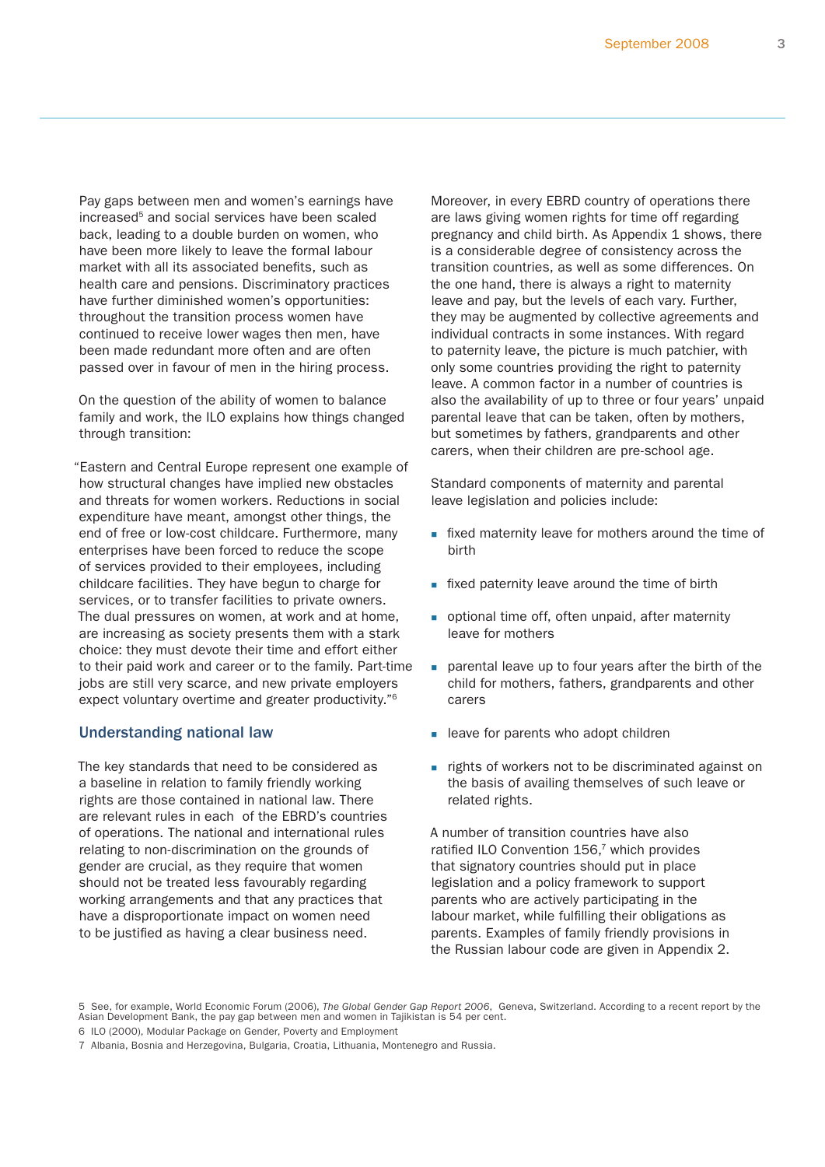<span id="page-2-0"></span>Pay gaps between men and women's earnings have increased<sup>5</sup> and social services have been scaled back, leading to a double burden on women, who have been more likely to leave the formal labour market with all its associated benefits, such as health care and pensions. Discriminatory practices have further diminished women's opportunities: throughout the transition process women have continued to receive lower wages then men, have been made redundant more often and are often passed over in favour of men in the hiring process.

On the question of the ability of women to balance family and work, the ILO explains how things changed through transition:

"Eastern and Central Europe represent one example of how structural changes have implied new obstacles and threats for women workers. Reductions in social expenditure have meant, amongst other things, the end of free or low-cost childcare. Furthermore, many enterprises have been forced to reduce the scope of services provided to their employees, including childcare facilities. They have begun to charge for services, or to transfer facilities to private owners. The dual pressures on women, at work and at home, are increasing as society presents them with a stark choice: they must devote their time and effort either to their paid work and career or to the family. Part-time jobs are still very scarce, and new private employers expect voluntary overtime and greater productivity."6

# Understanding national law

The key standards that need to be considered as a baseline in relation to family friendly working rights are those contained in national law. There are relevant rules in each of the EBRD's countries of operations. The national and international rules relating to non-discrimination on the grounds of gender are crucial, as they require that women should not be treated less favourably regarding working arrangements and that any practices that have a disproportionate impact on women need to be justified as having a clear business need.

Moreover, in every EBRD country of operations there are laws giving women rights for time off regarding pregnancy and child birth. As Appendix 1 shows, there is a considerable degree of consistency across the transition countries, as well as some differences. On the one hand, there is always a right to maternity leave and pay, but the levels of each vary. Further, they may be augmented by collective agreements and individual contracts in some instances. With regard to paternity leave, the picture is much patchier, with only some countries providing the right to paternity leave. A common factor in a number of countries is also the availability of up to three or four years' unpaid parental leave that can be taken, often by mothers, but sometimes by fathers, grandparents and other carers, when their children are pre-school age.

Standard components of maternity and parental leave legislation and policies include:

- **fixed maternity leave for mothers around the time of** birth
- **fixed paternity leave around the time of birth**
- optional time off, often unpaid, after maternity leave for mothers
- parental leave up to four years after the birth of the child for mothers, fathers, grandparents and other carers
- **leave for parents who adopt children**
- **rights of workers not to be discriminated against on** the basis of availing themselves of such leave or related rights.

A number of transition countries have also ratified ILO Convention 156,<sup>7</sup> which provides that signatory countries should put in place legislation and a policy framework to support parents who are actively participating in the labour market, while fulfilling their obligations as parents. Examples of family friendly provisions in the Russian labour code are given in Appendix 2.

<sup>5</sup> See, for example, World Economic Forum (2006), *The Global Gender Gap Report 2006*, Geneva, Switzerland. According to a recent report by the Asian Development Bank, the pay gap between men and women in Tajikistan is 54 per cent.

<sup>6</sup> ILO (2000), Modular Package on Gender, Poverty and Employment

<sup>7</sup> Albania, Bosnia and Herzegovina, Bulgaria, Croatia, Lithuania, Montenegro and Russia.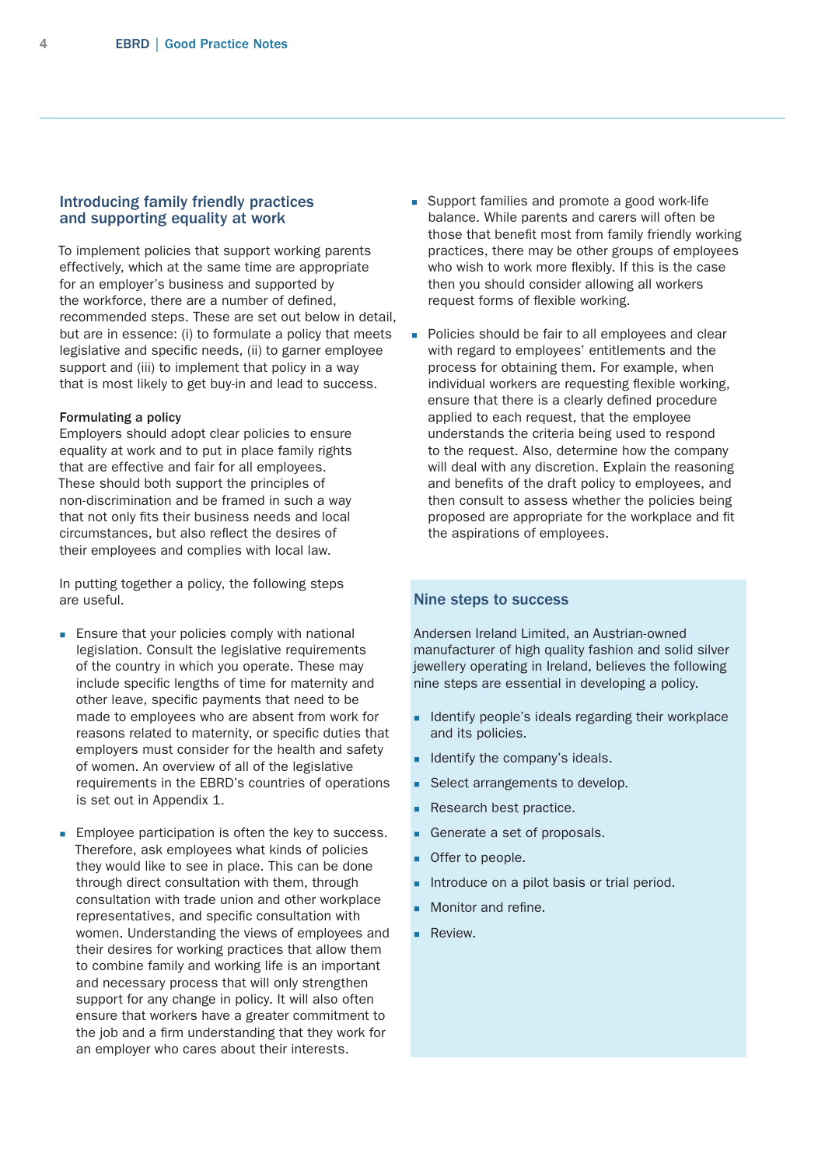# <span id="page-3-0"></span>Introducing family friendly practices and supporting equality at work

To implement policies that support working parents effectively, which at the same time are appropriate for an employer's business and supported by the workforce, there are a number of defined, recommended steps. These are set out below in detail, but are in essence: (i) to formulate a policy that meets legislative and specific needs, (ii) to garner employee support and (iii) to implement that policy in a way that is most likely to get buy-in and lead to success.

#### Formulating a policy

Employers should adopt clear policies to ensure equality at work and to put in place family rights that are effective and fair for all employees. These should both support the principles of non-discrimination and be framed in such a way that not only fits their business needs and local circumstances, but also reflect the desires of their employees and complies with local law.

In putting together a policy, the following steps are useful.

- **Ensure that your policies comply with national** legislation. Consult the legislative requirements of the country in which you operate. These may include specific lengths of time for maternity and other leave, specific payments that need to be made to employees who are absent from work for reasons related to maternity, or specific duties that employers must consider for the health and safety of women. An overview of all of the legislative requirements in the EBRD's countries of operations is set out in Appendix 1.
- **Employee participation is often the key to success.** Therefore, ask employees what kinds of policies they would like to see in place. This can be done through direct consultation with them, through consultation with trade union and other workplace representatives, and specific consultation with women. Understanding the views of employees and their desires for working practices that allow them to combine family and working life is an important and necessary process that will only strengthen support for any change in policy. It will also often ensure that workers have a greater commitment to the job and a firm understanding that they work for an employer who cares about their interests.
- **Support families and promote a good work-life** balance. While parents and carers will often be those that benefit most from family friendly working practices, there may be other groups of employees who wish to work more flexibly. If this is the case then you should consider allowing all workers request forms of flexible working.
- **Policies should be fair to all employees and clear** with regard to employees' entitlements and the process for obtaining them. For example, when individual workers are requesting flexible working, ensure that there is a clearly defined procedure applied to each request, that the employee understands the criteria being used to respond to the request. Also, determine how the company will deal with any discretion. Explain the reasoning and benefits of the draft policy to employees, and then consult to assess whether the policies being proposed are appropriate for the workplace and fit the aspirations of employees.

# Nine steps to success

Andersen Ireland Limited, an Austrian-owned manufacturer of high quality fashion and solid silver jewellery operating in Ireland, believes the following nine steps are essential in developing a policy.

- I Identify people's ideals regarding their workplace and its policies.
- I Identify the company's ideals.
- Select arrangements to develop.
- Research best practice.
- Generate a set of proposals.
- Offer to people.
- Introduce on a pilot basis or trial period.
- Monitor and refine.
- **Review.**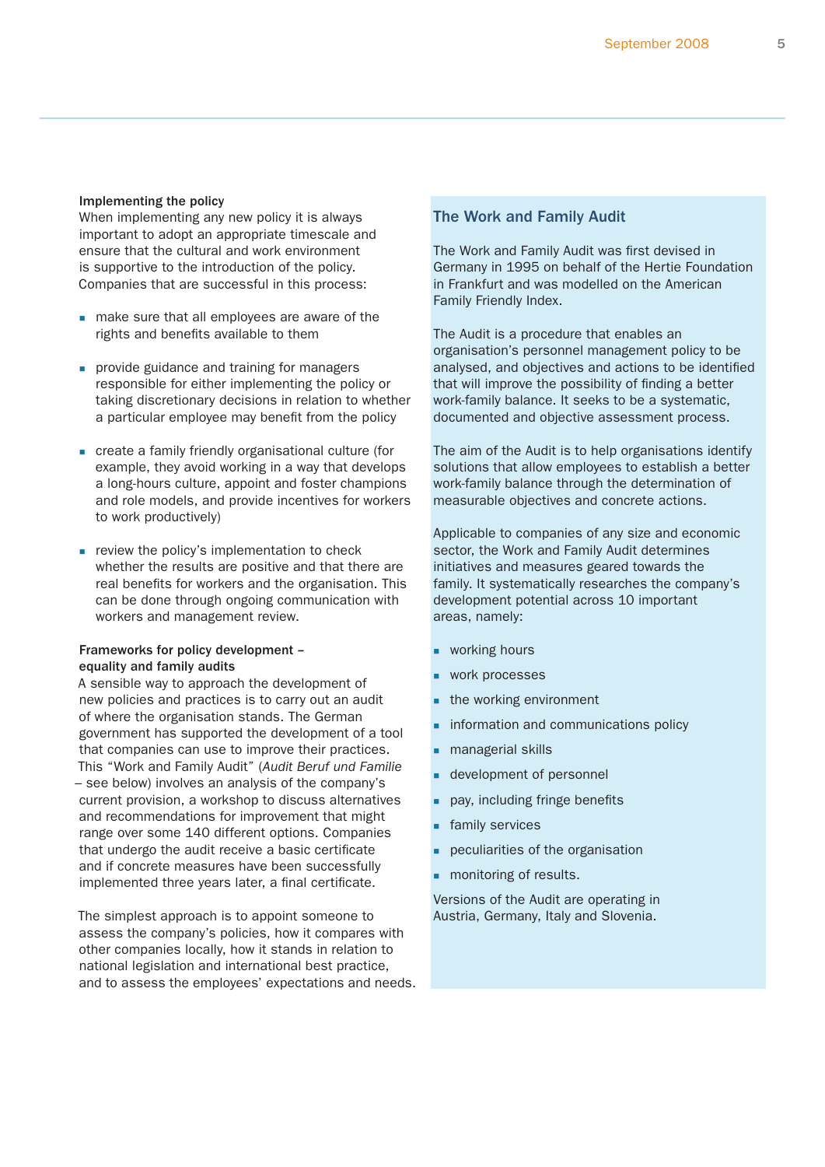#### Implementing the policy

When implementing any new policy it is always important to adopt an appropriate timescale and ensure that the cultural and work environment is supportive to the introduction of the policy. Companies that are successful in this process:

- make sure that all employees are aware of the rights and benefits available to them
- **provide guidance and training for managers** responsible for either implementing the policy or taking discretionary decisions in relation to whether a particular employee may benefit from the policy
- create a family friendly organisational culture (for example, they avoid working in a way that develops a long-hours culture, appoint and foster champions and role models, and provide incentives for workers to work productively)
- **PEDIETE:** review the policy's implementation to check whether the results are positive and that there are real benefits for workers and the organisation. This can be done through ongoing communication with workers and management review.

# Frameworks for policy development – equality and family audits

A sensible way to approach the development of new policies and practices is to carry out an audit of where the organisation stands. The German government has supported the development of a tool that companies can use to improve their practices. This "Work and Family Audit" (*Audit Beruf und Familie* – see below) involves an analysis of the company's current provision, a workshop to discuss alternatives and recommendations for improvement that might range over some 140 different options. Companies that undergo the audit receive a basic certificate and if concrete measures have been successfully implemented three years later, a final certificate.

The simplest approach is to appoint someone to assess the company's policies, how it compares with other companies locally, how it stands in relation to national legislation and international best practice, and to assess the employees' expectations and needs.

# The Work and Family Audit

The Work and Family Audit was first devised in Germany in 1995 on behalf of the Hertie Foundation in Frankfurt and was modelled on the American Family Friendly Index.

The Audit is a procedure that enables an organisation's personnel management policy to be analysed, and objectives and actions to be identified that will improve the possibility of finding a better work-family balance. It seeks to be a systematic, documented and objective assessment process.

The aim of the Audit is to help organisations identify solutions that allow employees to establish a better work-family balance through the determination of measurable objectives and concrete actions.

Applicable to companies of any size and economic sector, the Work and Family Audit determines initiatives and measures geared towards the family. It systematically researches the company's development potential across 10 important areas, namely:

- working hours
- work processes
- the working environment
- information and communications policy
- managerial skills
- development of personnel
- pay, including fringe benefits
- family services
- peculiarities of the organisation
- **n** monitoring of results.

Versions of the Audit are operating in Austria, Germany, Italy and Slovenia.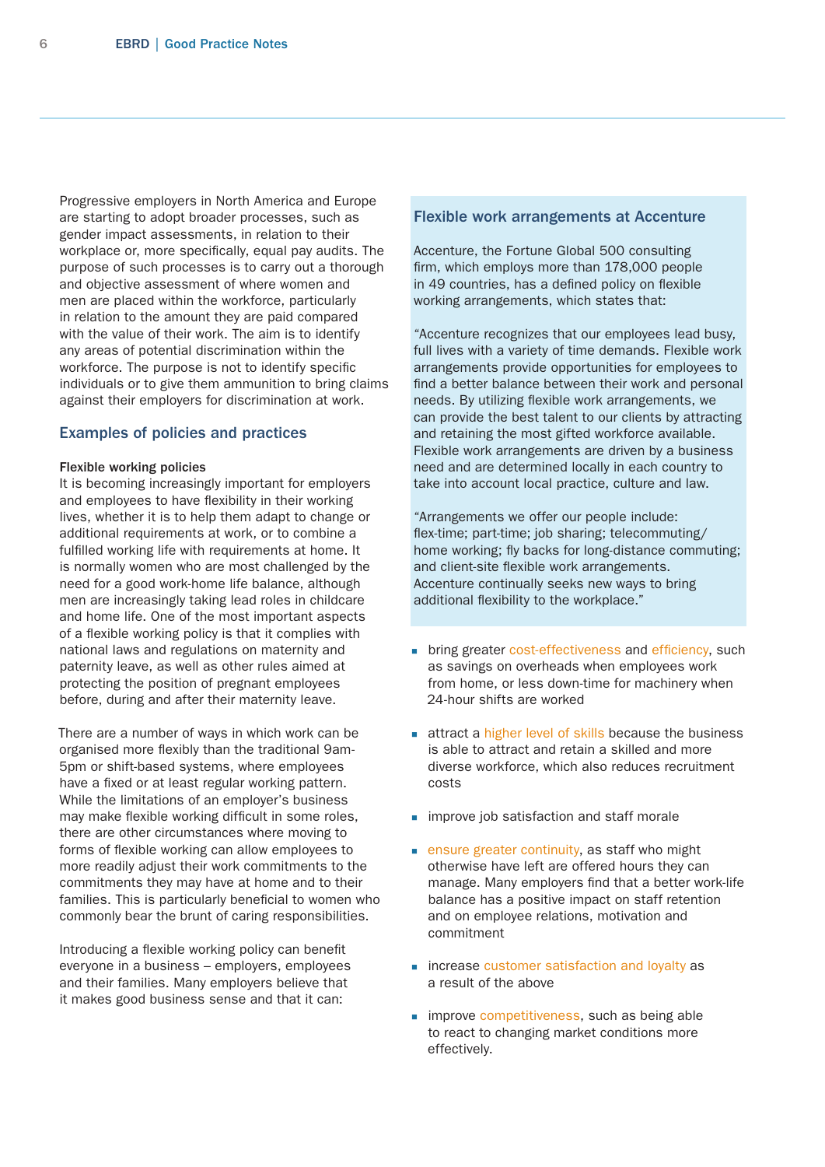<span id="page-5-0"></span>Progressive employers in North America and Europe are starting to adopt broader processes, such as gender impact assessments, in relation to their workplace or, more specifically, equal pay audits. The purpose of such processes is to carry out a thorough and objective assessment of where women and men are placed within the workforce, particularly in relation to the amount they are paid compared with the value of their work. The aim is to identify any areas of potential discrimination within the workforce. The purpose is not to identify specific individuals or to give them ammunition to bring claims against their employers for discrimination at work.

# Examples of policies and practices

#### Flexible working policies

It is becoming increasingly important for employers and employees to have flexibility in their working lives, whether it is to help them adapt to change or additional requirements at work, or to combine a fulfilled working life with requirements at home. It is normally women who are most challenged by the need for a good work-home life balance, although men are increasingly taking lead roles in childcare and home life. One of the most important aspects of a flexible working policy is that it complies with national laws and regulations on maternity and paternity leave, as well as other rules aimed at protecting the position of pregnant employees before, during and after their maternity leave.

There are a number of ways in which work can be organised more flexibly than the traditional 9am-5pm or shift-based systems, where employees have a fixed or at least regular working pattern. While the limitations of an employer's business may make flexible working difficult in some roles, there are other circumstances where moving to forms of flexible working can allow employees to more readily adjust their work commitments to the commitments they may have at home and to their families. This is particularly beneficial to women who commonly bear the brunt of caring responsibilities.

Introducing a flexible working policy can benefit everyone in a business – employers, employees and their families. Many employers believe that it makes good business sense and that it can:

#### Flexible work arrangements at Accenture

Accenture, the Fortune Global 500 consulting firm, which employs more than 178,000 people in 49 countries, has a defined policy on flexible working arrangements, which states that:

"Accenture recognizes that our employees lead busy, full lives with a variety of time demands. Flexible work arrangements provide opportunities for employees to find a better balance between their work and personal needs. By utilizing flexible work arrangements, we can provide the best talent to our clients by attracting and retaining the most gifted workforce available. Flexible work arrangements are driven by a business need and are determined locally in each country to take into account local practice, culture and law.

"Arrangements we offer our people include: flex-time; part-time; job sharing; telecommuting/ home working; fly backs for long-distance commuting; and client-site flexible work arrangements. Accenture continually seeks new ways to bring additional flexibility to the workplace."

- **Dring greater cost-effectiveness and efficiency, such** as savings on overheads when employees work from home, or less down-time for machinery when 24-hour shifts are worked
- **Exercise a higher level of skills because the business** is able to attract and retain a skilled and more diverse workforce, which also reduces recruitment costs
- **improve job satisfaction and staff morale**
- **EXECUTE:** ensure greater continuity, as staff who might otherwise have left are offered hours they can manage. Many employers find that a better work-life balance has a positive impact on staff retention and on employee relations, motivation and commitment
- **increase customer satisfaction and loyalty as** a result of the above
- **improve competitiveness, such as being able** to react to changing market conditions more effectively.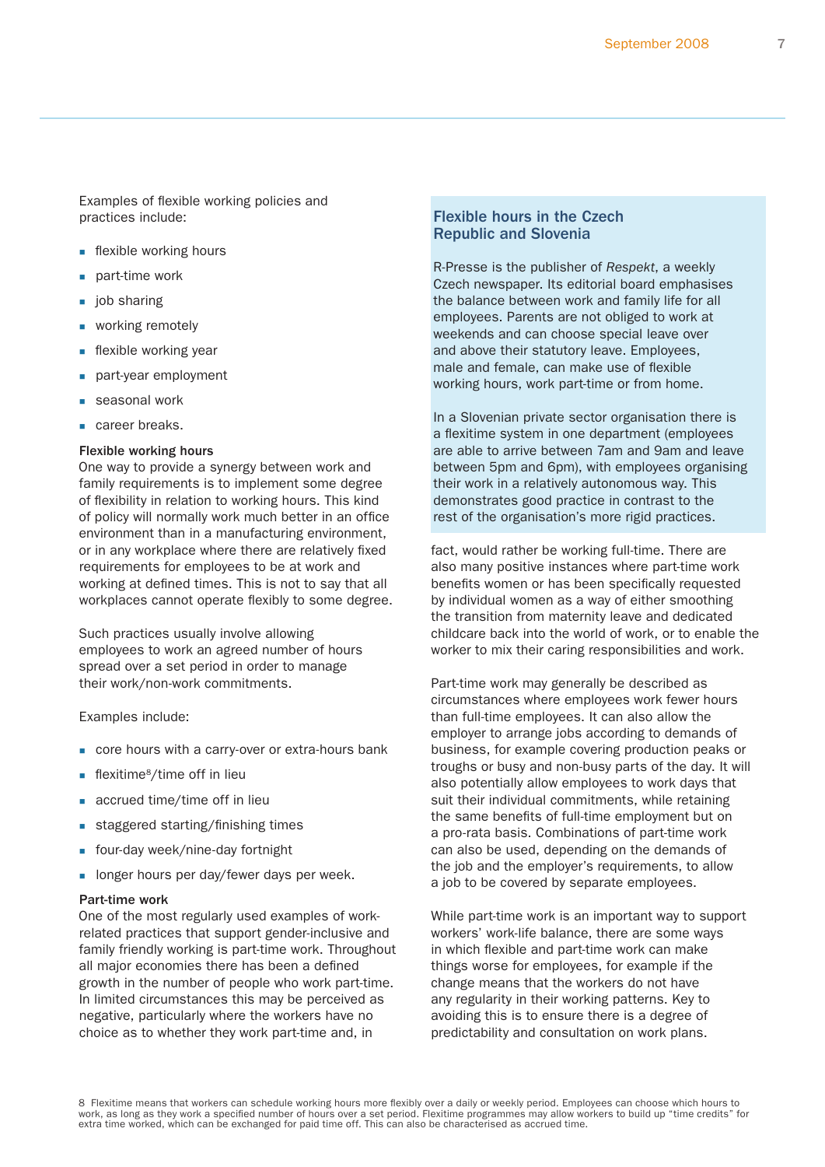Examples of flexible working policies and practices include:

- **flexible working hours**
- **part-time work**
- liob sharing
- working remotely
- **flexible working year**
- part-year employment
- seasonal work
- career breaks.

#### Flexible working hours

One way to provide a synergy between work and family requirements is to implement some degree of flexibility in relation to working hours. This kind of policy will normally work much better in an office environment than in a manufacturing environment, or in any workplace where there are relatively fixed requirements for employees to be at work and working at defined times. This is not to say that all workplaces cannot operate flexibly to some degree.

Such practices usually involve allowing employees to work an agreed number of hours spread over a set period in order to manage their work/non-work commitments.

Examples include:

- core hours with a carry-over or extra-hours bank
- **flexitime**<sup>8</sup>/time off in lieu
- **accrued time/time off in lieu**
- staggered starting/finishing times
- **four-day week/nine-day fortnight**
- **I** longer hours per day/fewer days per week.

#### Part-time work

One of the most regularly used examples of workrelated practices that support gender-inclusive and family friendly working is part-time work. Throughout all major economies there has been a defined growth in the number of people who work part-time. In limited circumstances this may be perceived as negative, particularly where the workers have no choice as to whether they work part-time and, in

# Flexible hours in the Czech Republic and Slovenia

R-Presse is the publisher of *Respekt*, a weekly Czech newspaper. Its editorial board emphasises the balance between work and family life for all employees. Parents are not obliged to work at weekends and can choose special leave over and above their statutory leave. Employees, male and female, can make use of flexible working hours, work part-time or from home.

In a Slovenian private sector organisation there is a flexitime system in one department (employees are able to arrive between 7am and 9am and leave between 5pm and 6pm), with employees organising their work in a relatively autonomous way. This demonstrates good practice in contrast to the rest of the organisation's more rigid practices.

fact, would rather be working full-time. There are also many positive instances where part-time work benefits women or has been specifically requested by individual women as a way of either smoothing the transition from maternity leave and dedicated childcare back into the world of work, or to enable the worker to mix their caring responsibilities and work.

Part-time work may generally be described as circumstances where employees work fewer hours than full-time employees. It can also allow the employer to arrange jobs according to demands of business, for example covering production peaks or troughs or busy and non-busy parts of the day. It will also potentially allow employees to work days that suit their individual commitments, while retaining the same benefits of full-time employment but on a pro-rata basis. Combinations of part-time work can also be used, depending on the demands of the job and the employer's requirements, to allow a job to be covered by separate employees.

While part-time work is an important way to support workers' work-life balance, there are some ways in which flexible and part-time work can make things worse for employees, for example if the change means that the workers do not have any regularity in their working patterns. Key to avoiding this is to ensure there is a degree of predictability and consultation on work plans.

8 Flexitime means that workers can schedule working hours more flexibly over a daily or weekly period. Employees can choose which hours to work, as long as they work a specified number of hours over a set period. Flexitime programmes may allow workers to build up "time credits" for extra time worked, which can be exchanged for paid time off. This can also be characterised as accrued time.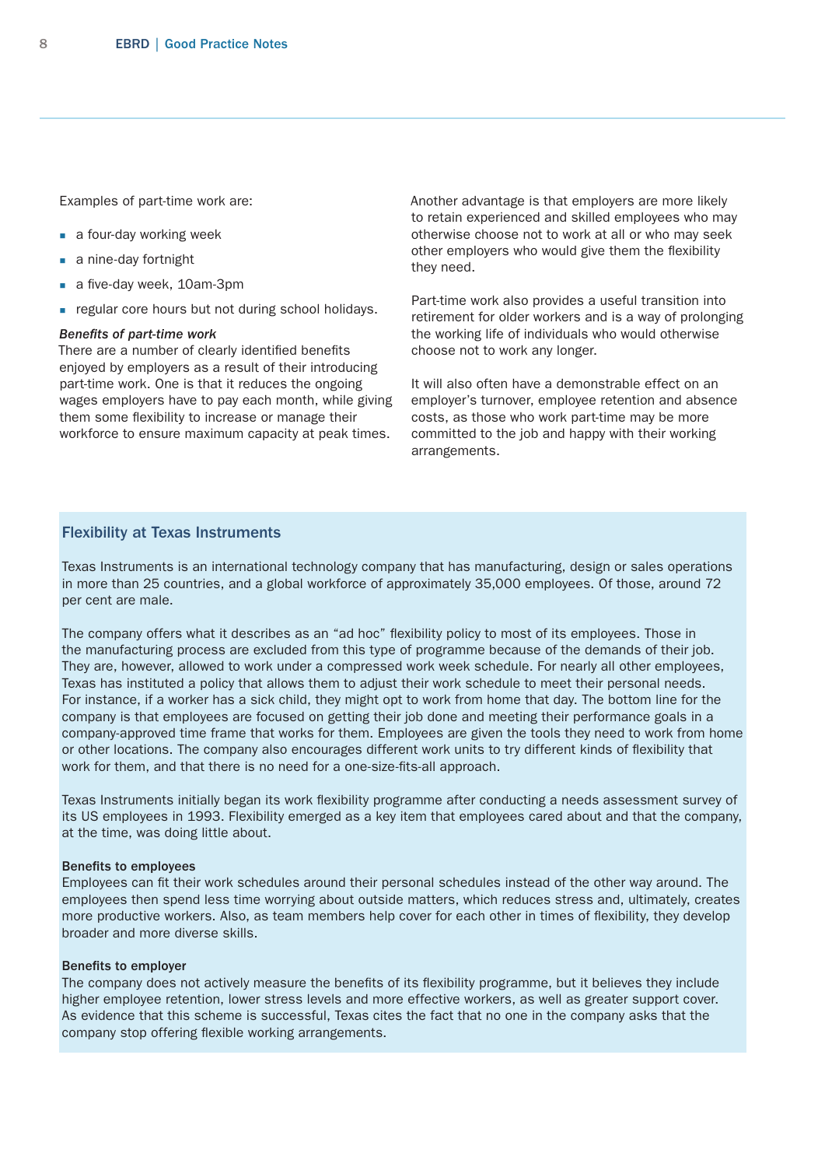Examples of part-time work are:

- a four-day working week
- a nine-day fortnight
- a five-day week, 10am-3pm
- **regular core hours but not during school holidays.**

#### *Benefits of part-time work*

There are a number of clearly identified benefits enjoyed by employers as a result of their introducing part-time work. One is that it reduces the ongoing wages employers have to pay each month, while giving them some flexibility to increase or manage their workforce to ensure maximum capacity at peak times.

Another advantage is that employers are more likely to retain experienced and skilled employees who may otherwise choose not to work at all or who may seek other employers who would give them the flexibility they need.

Part-time work also provides a useful transition into retirement for older workers and is a way of prolonging the working life of individuals who would otherwise choose not to work any longer.

It will also often have a demonstrable effect on an employer's turnover, employee retention and absence costs, as those who work part-time may be more committed to the job and happy with their working arrangements.

# Flexibility at Texas Instruments

Texas Instruments is an international technology company that has manufacturing, design or sales operations in more than 25 countries, and a global workforce of approximately 35,000 employees. Of those, around 72 per cent are male.

The company offers what it describes as an "ad hoc" flexibility policy to most of its employees. Those in the manufacturing process are excluded from this type of programme because of the demands of their job. They are, however, allowed to work under a compressed work week schedule. For nearly all other employees, Texas has instituted a policy that allows them to adjust their work schedule to meet their personal needs. For instance, if a worker has a sick child, they might opt to work from home that day. The bottom line for the company is that employees are focused on getting their job done and meeting their performance goals in a company-approved time frame that works for them. Employees are given the tools they need to work from home or other locations. The company also encourages different work units to try different kinds of flexibility that work for them, and that there is no need for a one-size-fits-all approach.

Texas Instruments initially began its work flexibility programme after conducting a needs assessment survey of its US employees in 1993. Flexibility emerged as a key item that employees cared about and that the company, at the time, was doing little about.

#### Benefits to employees

Employees can fit their work schedules around their personal schedules instead of the other way around. The employees then spend less time worrying about outside matters, which reduces stress and, ultimately, creates more productive workers. Also, as team members help cover for each other in times of flexibility, they develop broader and more diverse skills.

# Benefits to employer

The company does not actively measure the benefits of its flexibility programme, but it believes they include higher employee retention, lower stress levels and more effective workers, as well as greater support cover. As evidence that this scheme is successful, Texas cites the fact that no one in the company asks that the company stop offering flexible working arrangements.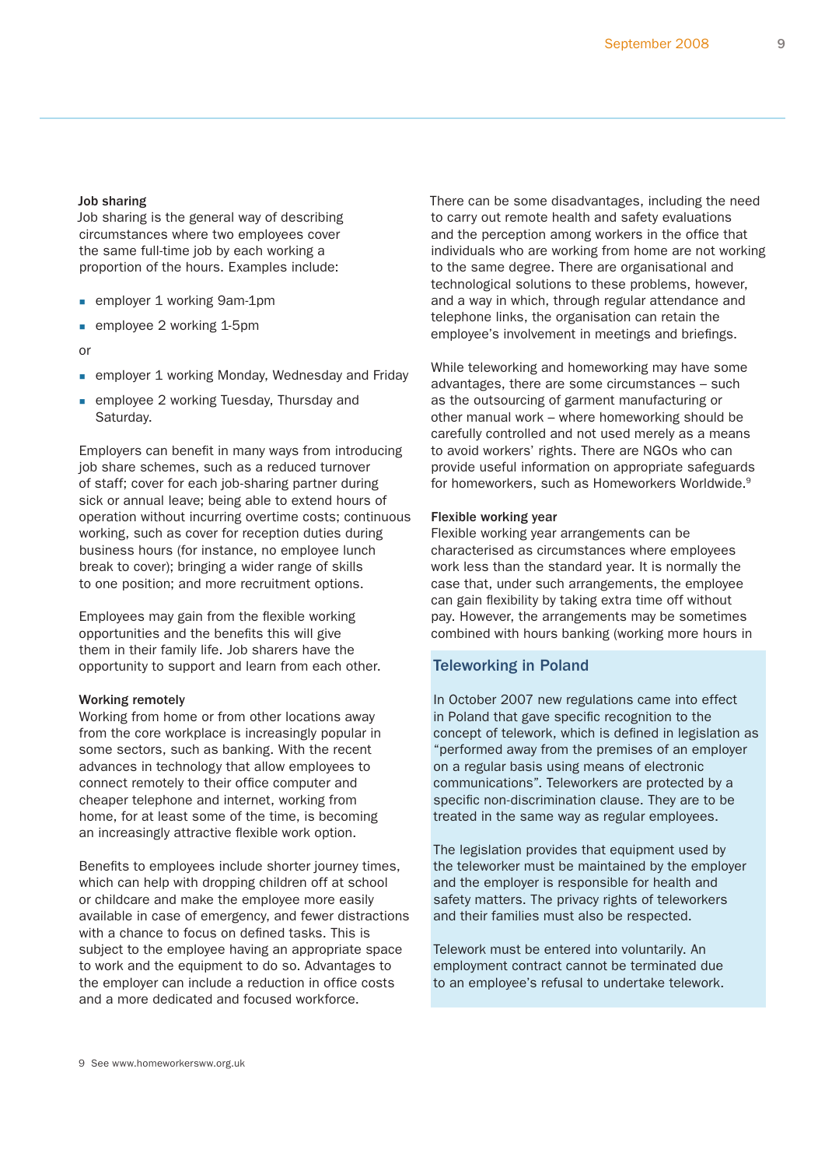#### Job sharing

Job sharing is the general way of describing circumstances where two employees cover the same full-time job by each working a proportion of the hours. Examples include:

- **Examployer 1 working 9am-1pm**
- employee 2 working 1-5pm

#### or

- **Examployer 1 working Monday, Wednesday and Friday**
- **Examployee 2 working Tuesday, Thursday and** Saturday.

Employers can benefit in many ways from introducing job share schemes, such as a reduced turnover of staff; cover for each job-sharing partner during sick or annual leave; being able to extend hours of operation without incurring overtime costs; continuous working, such as cover for reception duties during business hours (for instance, no employee lunch break to cover); bringing a wider range of skills to one position; and more recruitment options.

Employees may gain from the flexible working opportunities and the benefits this will give them in their family life. Job sharers have the opportunity to support and learn from each other.

#### Working remotely

Working from home or from other locations away from the core workplace is increasingly popular in some sectors, such as banking. With the recent advances in technology that allow employees to connect remotely to their office computer and cheaper telephone and internet, working from home, for at least some of the time, is becoming an increasingly attractive flexible work option.

Benefits to employees include shorter journey times, which can help with dropping children off at school or childcare and make the employee more easily available in case of emergency, and fewer distractions with a chance to focus on defined tasks. This is subject to the employee having an appropriate space to work and the equipment to do so. Advantages to the employer can include a reduction in office costs and a more dedicated and focused workforce.

There can be some disadvantages, including the need to carry out remote health and safety evaluations and the perception among workers in the office that individuals who are working from home are not working to the same degree. There are organisational and technological solutions to these problems, however, and a way in which, through regular attendance and telephone links, the organisation can retain the employee's involvement in meetings and briefings.

While teleworking and homeworking may have some advantages, there are some circumstances – such as the outsourcing of garment manufacturing or other manual work – where homeworking should be carefully controlled and not used merely as a means to avoid workers' rights. There are NGOs who can provide useful information on appropriate safeguards for homeworkers, such as Homeworkers Worldwide.9

#### Flexible working year

Flexible working year arrangements can be characterised as circumstances where employees work less than the standard year. It is normally the case that, under such arrangements, the employee can gain flexibility by taking extra time off without pay. However, the arrangements may be sometimes combined with hours banking (working more hours in

# Teleworking in Poland

In October 2007 new regulations came into effect in Poland that gave specific recognition to the concept of telework, which is defined in legislation as "performed away from the premises of an employer on a regular basis using means of electronic communications". Teleworkers are protected by a specific non-discrimination clause. They are to be treated in the same way as regular employees.

The legislation provides that equipment used by the teleworker must be maintained by the employer and the employer is responsible for health and safety matters. The privacy rights of teleworkers and their families must also be respected.

Telework must be entered into voluntarily. An employment contract cannot be terminated due to an employee's refusal to undertake telework.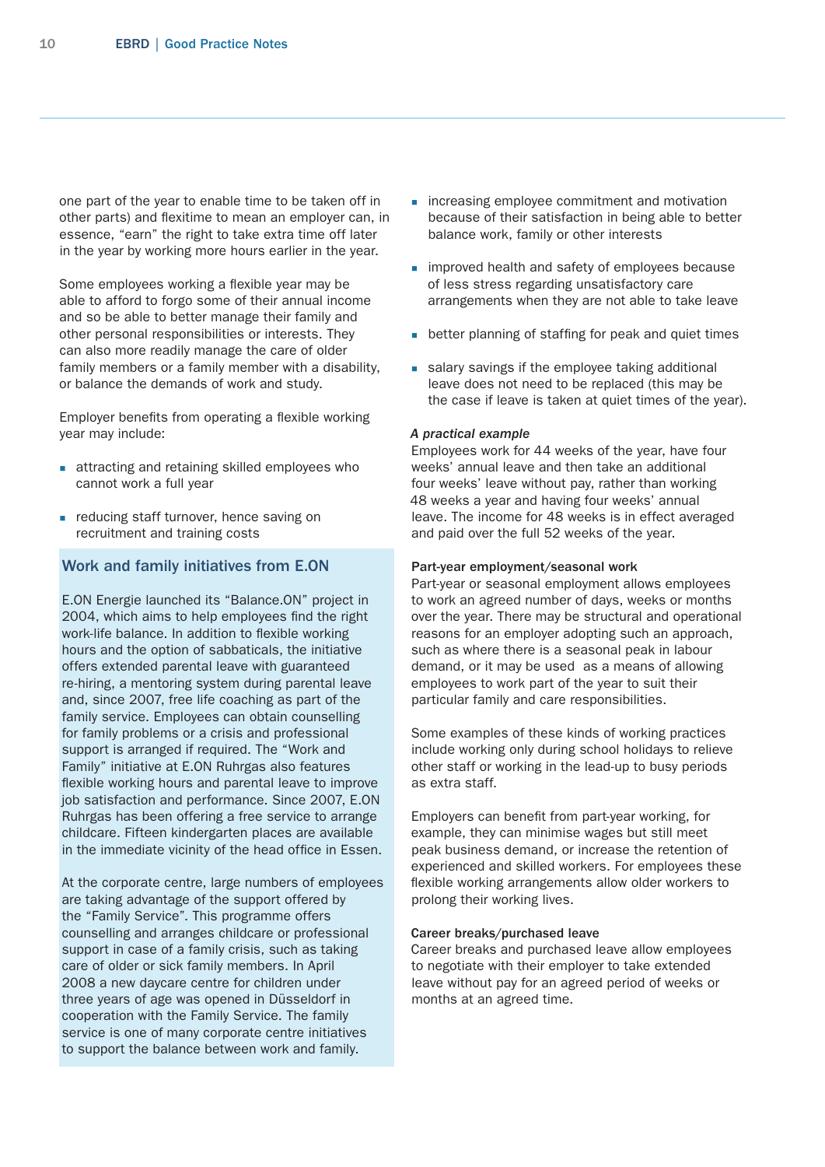one part of the year to enable time to be taken off in other parts) and flexitime to mean an employer can, in essence, "earn" the right to take extra time off later in the year by working more hours earlier in the year.

Some employees working a flexible year may be able to afford to forgo some of their annual income and so be able to better manage their family and other personal responsibilities or interests. They can also more readily manage the care of older family members or a family member with a disability, or balance the demands of work and study.

Employer benefits from operating a flexible working year may include:

- **attracting and retaining skilled employees who** cannot work a full year
- **reducing staff turnover, hence saving on** recruitment and training costs

# Work and family initiatives from E.ON

E.ON Energie launched its "Balance.ON" project in 2004, which aims to help employees find the right work-life balance. In addition to flexible working hours and the option of sabbaticals, the initiative offers extended parental leave with guaranteed re-hiring, a mentoring system during parental leave and, since 2007, free life coaching as part of the family service. Employees can obtain counselling for family problems or a crisis and professional support is arranged if required. The "Work and Family" initiative at E.ON Ruhrgas also features flexible working hours and parental leave to improve job satisfaction and performance. Since 2007, E.ON Ruhrgas has been offering a free service to arrange childcare. Fifteen kindergarten places are available in the immediate vicinity of the head office in Essen.

At the corporate centre, large numbers of employees are taking advantage of the support offered by the "Family Service". This programme offers counselling and arranges childcare or professional support in case of a family crisis, such as taking care of older or sick family members. In April 2008 a new daycare centre for children under three years of age was opened in Düsseldorf in cooperation with the Family Service. The family service is one of many corporate centre initiatives to support the balance between work and family.

- increasing employee commitment and motivation because of their satisfaction in being able to better balance work, family or other interests
- **improved health and safety of employees because** of less stress regarding unsatisfactory care arrangements when they are not able to take leave
- **better planning of staffing for peak and quiet times**
- salary savings if the employee taking additional leave does not need to be replaced (this may be the case if leave is taken at quiet times of the year).

#### *A practical example*

Employees work for 44 weeks of the year, have four weeks' annual leave and then take an additional four weeks' leave without pay, rather than working 48 weeks a year and having four weeks' annual leave. The income for 48 weeks is in effect averaged and paid over the full 52 weeks of the year.

#### Part-year employment/seasonal work

Part-year or seasonal employment allows employees to work an agreed number of days, weeks or months over the year. There may be structural and operational reasons for an employer adopting such an approach, such as where there is a seasonal peak in labour demand, or it may be used as a means of allowing employees to work part of the year to suit their particular family and care responsibilities.

Some examples of these kinds of working practices include working only during school holidays to relieve other staff or working in the lead-up to busy periods as extra staff.

Employers can benefit from part-year working, for example, they can minimise wages but still meet peak business demand, or increase the retention of experienced and skilled workers. For employees these flexible working arrangements allow older workers to prolong their working lives.

#### Career breaks/purchased leave

Career breaks and purchased leave allow employees to negotiate with their employer to take extended leave without pay for an agreed period of weeks or months at an agreed time.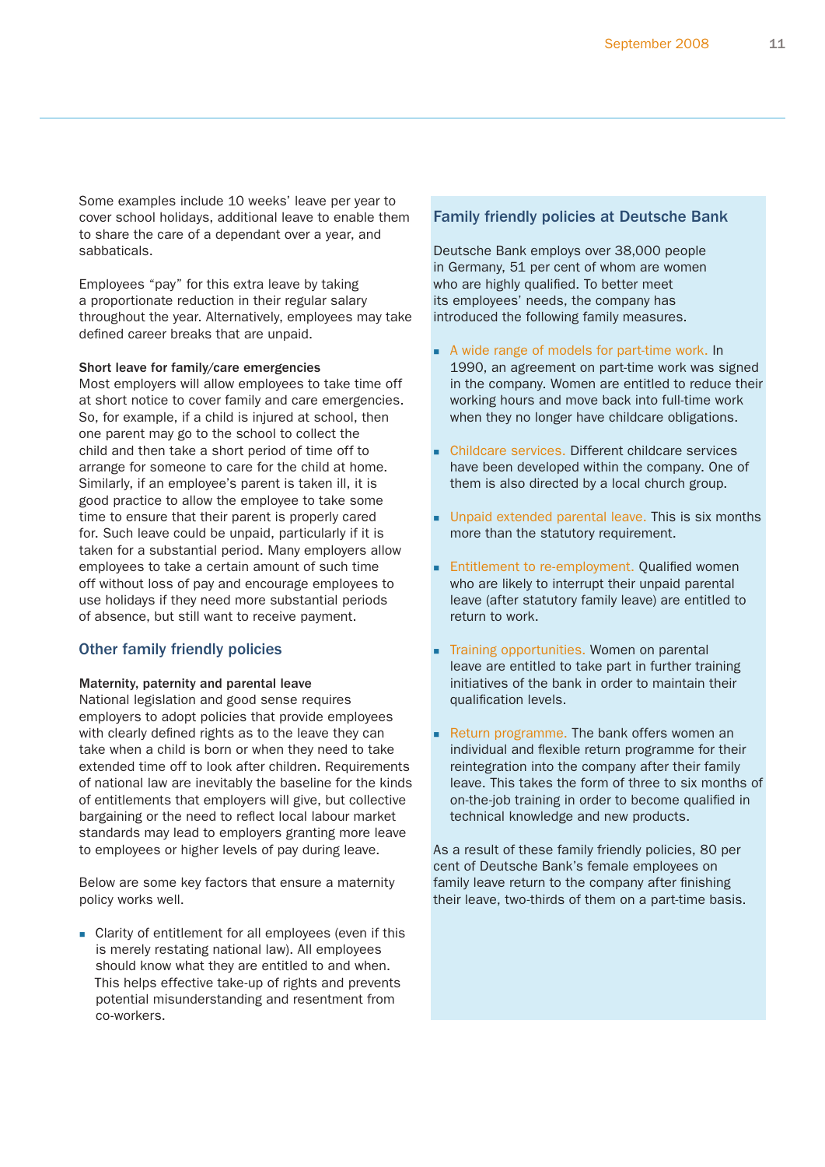<span id="page-10-0"></span>Some examples include 10 weeks' leave per year to cover school holidays, additional leave to enable them to share the care of a dependant over a year, and sabbaticals.

Employees "pay" for this extra leave by taking a proportionate reduction in their regular salary throughout the year. Alternatively, employees may take defined career breaks that are unpaid.

#### Short leave for family/care emergencies

Most employers will allow employees to take time off at short notice to cover family and care emergencies. So, for example, if a child is injured at school, then one parent may go to the school to collect the child and then take a short period of time off to arrange for someone to care for the child at home. Similarly, if an employee's parent is taken ill, it is good practice to allow the employee to take some time to ensure that their parent is properly cared for. Such leave could be unpaid, particularly if it is taken for a substantial period. Many employers allow employees to take a certain amount of such time off without loss of pay and encourage employees to use holidays if they need more substantial periods of absence, but still want to receive payment.

## Other family friendly policies

#### Maternity, paternity and parental leave

National legislation and good sense requires employers to adopt policies that provide employees with clearly defined rights as to the leave they can take when a child is born or when they need to take extended time off to look after children. Requirements of national law are inevitably the baseline for the kinds of entitlements that employers will give, but collective bargaining or the need to reflect local labour market standards may lead to employers granting more leave to employees or higher levels of pay during leave.

Below are some key factors that ensure a maternity policy works well.

 Clarity of entitlement for all employees (even if this is merely restating national law). All employees should know what they are entitled to and when. This helps effective take-up of rights and prevents potential misunderstanding and resentment from co-workers.

# Family friendly policies at Deutsche Bank

Deutsche Bank employs over 38,000 people in Germany, 51 per cent of whom are women who are highly qualified. To better meet its employees' needs, the company has introduced the following family measures.

- A wide range of models for part-time work. In 1990, an agreement on part-time work was signed in the company. Women are entitled to reduce their working hours and move back into full-time work when they no longer have childcare obligations.
- Childcare services. Different childcare services have been developed within the company. One of them is also directed by a local church group.
- **Unpaid extended parental leave. This is six months** more than the statutory requirement.
- Entitlement to re-employment. Qualified women who are likely to interrupt their unpaid parental leave (after statutory family leave) are entitled to return to work.
- Training opportunities. Women on parental leave are entitled to take part in further training initiatives of the bank in order to maintain their qualification levels.
- Return programme. The bank offers women an individual and flexible return programme for their reintegration into the company after their family leave. This takes the form of three to six months of on-the-job training in order to become qualified in technical knowledge and new products.

As a result of these family friendly policies, 80 per cent of Deutsche Bank's female employees on family leave return to the company after finishing their leave, two-thirds of them on a part-time basis.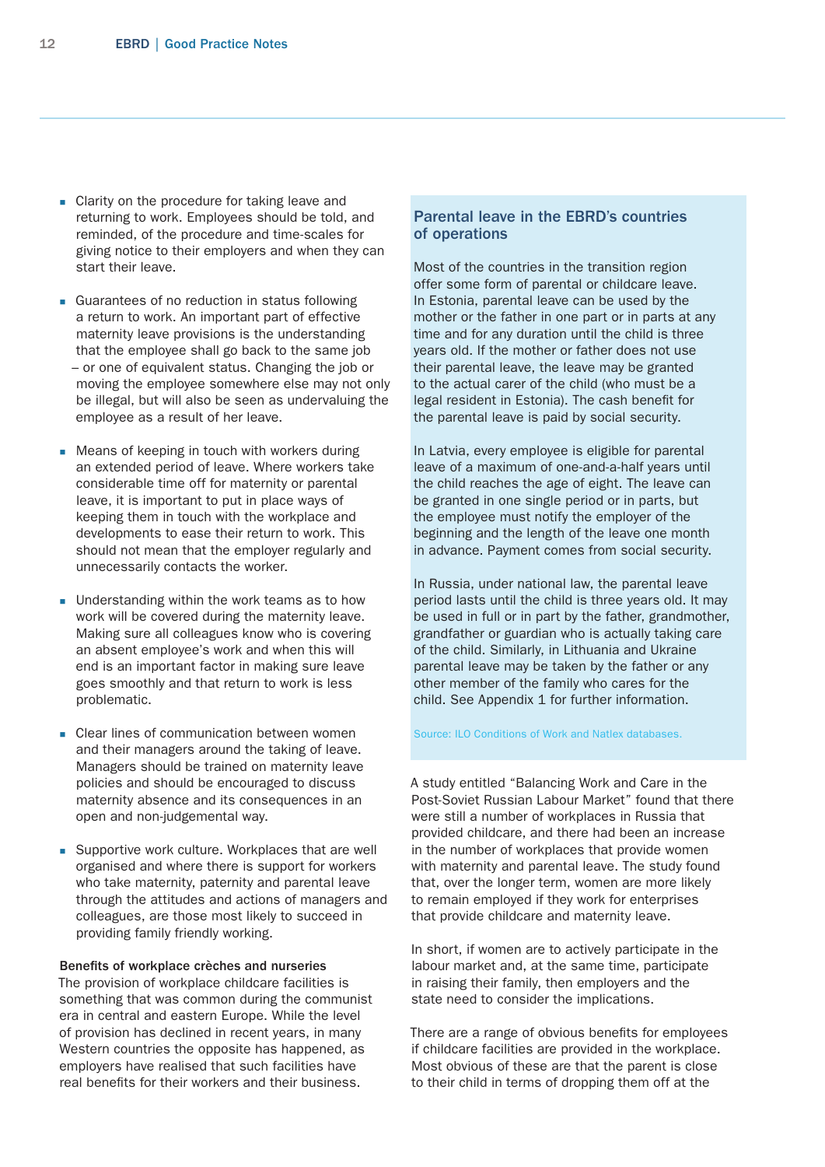- Clarity on the procedure for taking leave and returning to work. Employees should be told, and reminded, of the procedure and time-scales for giving notice to their employers and when they can start their leave.
- Guarantees of no reduction in status following a return to work. An important part of effective maternity leave provisions is the understanding that the employee shall go back to the same job – or one of equivalent status. Changing the job or moving the employee somewhere else may not only be illegal, but will also be seen as undervaluing the employee as a result of her leave.
- **Means of keeping in touch with workers during** an extended period of leave. Where workers take considerable time off for maternity or parental leave, it is important to put in place ways of keeping them in touch with the workplace and developments to ease their return to work. This should not mean that the employer regularly and unnecessarily contacts the worker.
- **Understanding within the work teams as to how** work will be covered during the maternity leave. Making sure all colleagues know who is covering an absent employee's work and when this will end is an important factor in making sure leave goes smoothly and that return to work is less problematic.
- **Clear lines of communication between women** and their managers around the taking of leave. Managers should be trained on maternity leave policies and should be encouraged to discuss maternity absence and its consequences in an open and non-judgemental way.
- Supportive work culture. Workplaces that are well organised and where there is support for workers who take maternity, paternity and parental leave through the attitudes and actions of managers and colleagues, are those most likely to succeed in providing family friendly working.

# Benefits of workplace crèches and nurseries

The provision of workplace childcare facilities is something that was common during the communist era in central and eastern Europe. While the level of provision has declined in recent years, in many Western countries the opposite has happened, as employers have realised that such facilities have real benefits for their workers and their business.

# Parental leave in the EBRD's countries of operations

Most of the countries in the transition region offer some form of parental or childcare leave. In Estonia, parental leave can be used by the mother or the father in one part or in parts at any time and for any duration until the child is three years old. If the mother or father does not use their parental leave, the leave may be granted to the actual carer of the child (who must be a legal resident in Estonia). The cash benefit for the parental leave is paid by social security.

In Latvia, every employee is eligible for parental leave of a maximum of one-and-a-half years until the child reaches the age of eight. The leave can be granted in one single period or in parts, but the employee must notify the employer of the beginning and the length of the leave one month in advance. Payment comes from social security.

In Russia, under national law, the parental leave period lasts until the child is three years old. It may be used in full or in part by the father, grandmother, grandfather or guardian who is actually taking care of the child. Similarly, in Lithuania and Ukraine parental leave may be taken by the father or any other member of the family who cares for the child. See Appendix 1 for further information.

#### Source: ILO Conditions of Work and Natlex databases.

A study entitled "Balancing Work and Care in the Post-Soviet Russian Labour Market" found that there were still a number of workplaces in Russia that provided childcare, and there had been an increase in the number of workplaces that provide women with maternity and parental leave. The study found that, over the longer term, women are more likely to remain employed if they work for enterprises that provide childcare and maternity leave.

In short, if women are to actively participate in the labour market and, at the same time, participate in raising their family, then employers and the state need to consider the implications.

There are a range of obvious benefits for employees if childcare facilities are provided in the workplace. Most obvious of these are that the parent is close to their child in terms of dropping them off at the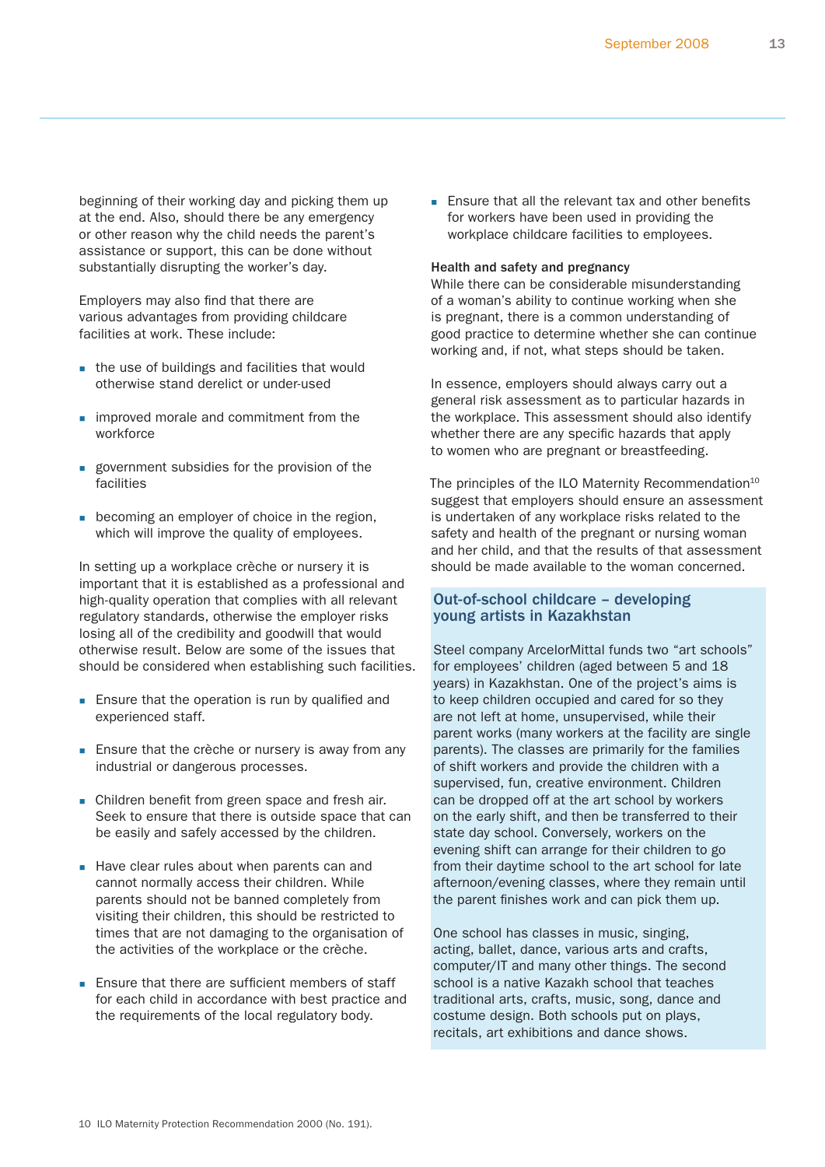beginning of their working day and picking them up at the end. Also, should there be any emergency or other reason why the child needs the parent's assistance or support, this can be done without substantially disrupting the worker's day.

Employers may also find that there are various advantages from providing childcare facilities at work. These include:

- the use of buildings and facilities that would otherwise stand derelict or under-used
- **improved morale and commitment from the** workforce
- **government subsidies for the provision of the** facilities
- **becoming an employer of choice in the region,** which will improve the quality of employees.

In setting up a workplace crèche or nursery it is important that it is established as a professional and high-quality operation that complies with all relevant regulatory standards, otherwise the employer risks losing all of the credibility and goodwill that would otherwise result. Below are some of the issues that should be considered when establishing such facilities.

- **Ensure that the operation is run by qualified and** experienced staff.
- **Ensure that the crèche or nursery is away from any** industrial or dangerous processes.
- **Children benefit from green space and fresh air.** Seek to ensure that there is outside space that can be easily and safely accessed by the children.
- Have clear rules about when parents can and cannot normally access their children. While parents should not be banned completely from visiting their children, this should be restricted to times that are not damaging to the organisation of the activities of the workplace or the crèche.
- **Ensure that there are sufficient members of staff** for each child in accordance with best practice and the requirements of the local regulatory body.

**Ensure that all the relevant tax and other benefits** for workers have been used in providing the workplace childcare facilities to employees.

#### Health and safety and pregnancy

While there can be considerable misunderstanding of a woman's ability to continue working when she is pregnant, there is a common understanding of good practice to determine whether she can continue working and, if not, what steps should be taken.

In essence, employers should always carry out a general risk assessment as to particular hazards in the workplace. This assessment should also identify whether there are any specific hazards that apply to women who are pregnant or breastfeeding.

The principles of the ILO Maternity Recommendation $10$ suggest that employers should ensure an assessment is undertaken of any workplace risks related to the safety and health of the pregnant or nursing woman and her child, and that the results of that assessment should be made available to the woman concerned.

# Out-of-school childcare – developing young artists in Kazakhstan

Steel company ArcelorMittal funds two "art schools" for employees' children (aged between 5 and 18 years) in Kazakhstan. One of the project's aims is to keep children occupied and cared for so they are not left at home, unsupervised, while their parent works (many workers at the facility are single parents). The classes are primarily for the families of shift workers and provide the children with a supervised, fun, creative environment. Children can be dropped off at the art school by workers on the early shift, and then be transferred to their state day school. Conversely, workers on the evening shift can arrange for their children to go from their daytime school to the art school for late afternoon/evening classes, where they remain until the parent finishes work and can pick them up.

One school has classes in music, singing, acting, ballet, dance, various arts and crafts, computer/IT and many other things. The second school is a native Kazakh school that teaches traditional arts, crafts, music, song, dance and costume design. Both schools put on plays, recitals, art exhibitions and dance shows.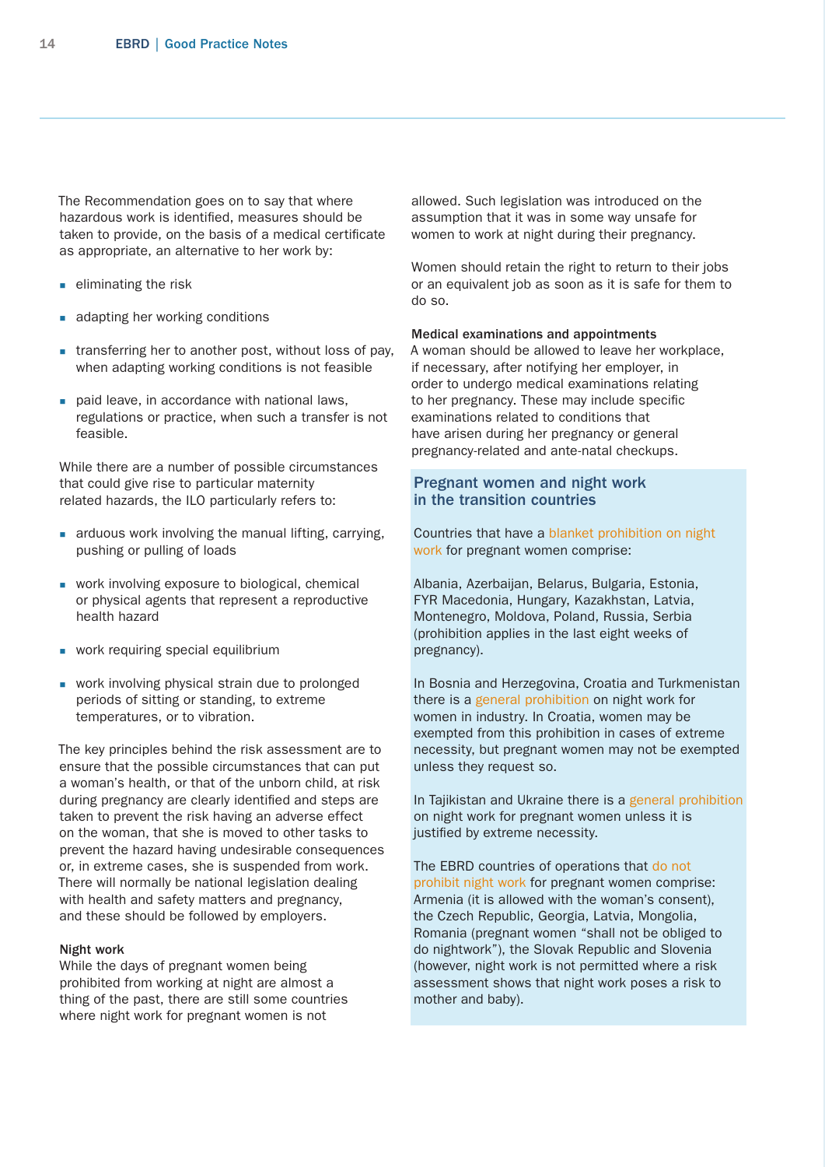The Recommendation goes on to say that where hazardous work is identified, measures should be taken to provide, on the basis of a medical certificate as appropriate, an alternative to her work by:

- $\blacksquare$  eliminating the risk
- adapting her working conditions
- **transferring her to another post, without loss of pay,** when adapting working conditions is not feasible
- paid leave, in accordance with national laws, regulations or practice, when such a transfer is not feasible.

While there are a number of possible circumstances that could give rise to particular maternity related hazards, the ILO particularly refers to:

- **a** arduous work involving the manual lifting, carrying, pushing or pulling of loads
- **work involving exposure to biological, chemical** or physical agents that represent a reproductive health hazard
- **work requiring special equilibrium**
- **work involving physical strain due to prolonged** periods of sitting or standing, to extreme temperatures, or to vibration.

The key principles behind the risk assessment are to ensure that the possible circumstances that can put a woman's health, or that of the unborn child, at risk during pregnancy are clearly identified and steps are taken to prevent the risk having an adverse effect on the woman, that she is moved to other tasks to prevent the hazard having undesirable consequences or, in extreme cases, she is suspended from work. There will normally be national legislation dealing with health and safety matters and pregnancy, and these should be followed by employers.

## Night work

While the days of pregnant women being prohibited from working at night are almost a thing of the past, there are still some countries where night work for pregnant women is not

allowed. Such legislation was introduced on the assumption that it was in some way unsafe for women to work at night during their pregnancy.

Women should retain the right to return to their jobs or an equivalent job as soon as it is safe for them to do so.

#### Medical examinations and appointments

A woman should be allowed to leave her workplace, if necessary, after notifying her employer, in order to undergo medical examinations relating to her pregnancy. These may include specific examinations related to conditions that have arisen during her pregnancy or general pregnancy-related and ante-natal checkups.

# Pregnant women and night work in the transition countries

Countries that have a blanket prohibition on night work for pregnant women comprise:

Albania, Azerbaijan, Belarus, Bulgaria, Estonia, FYR Macedonia, Hungary, Kazakhstan, Latvia, Montenegro, Moldova, Poland, Russia, Serbia (prohibition applies in the last eight weeks of pregnancy).

In Bosnia and Herzegovina, Croatia and Turkmenistan there is a general prohibition on night work for women in industry. In Croatia, women may be exempted from this prohibition in cases of extreme necessity, but pregnant women may not be exempted unless they request so.

In Tajikistan and Ukraine there is a general prohibition on night work for pregnant women unless it is justified by extreme necessity.

The EBRD countries of operations that do not prohibit night work for pregnant women comprise: Armenia (it is allowed with the woman's consent), the Czech Republic, Georgia, Latvia, Mongolia, Romania (pregnant women "shall not be obliged to do nightwork"), the Slovak Republic and Slovenia (however, night work is not permitted where a risk assessment shows that night work poses a risk to mother and baby).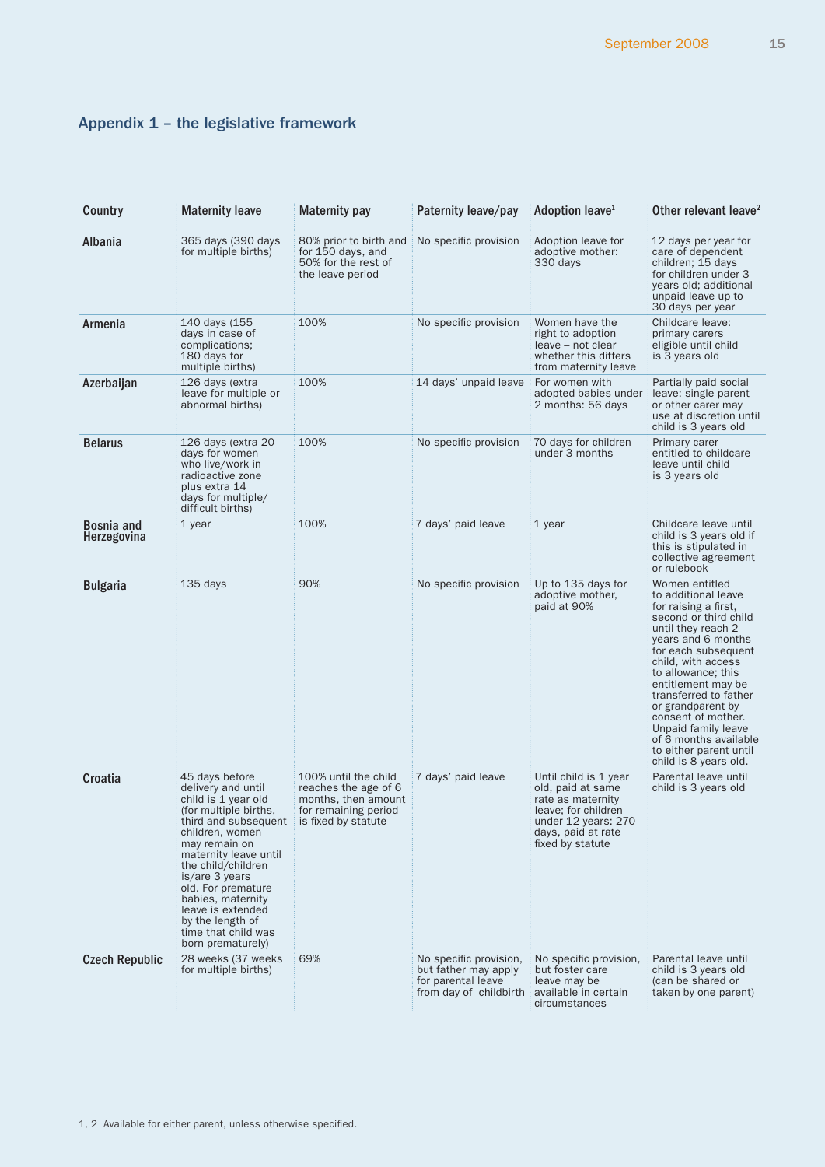# <span id="page-14-0"></span>Appendix 1 – the legislative framework

| Country                          | <b>Maternity leave</b>                                                                                                                                                                                                                                                                                                                            | <b>Maternity pay</b>                                                                                               | Paternity leave/pay                                                                            | Adoption leave <sup>1</sup>                                                                                                                             | Other relevant leave <sup>2</sup>                                                                                                                                                                                                                                                                                                                                                                  |
|----------------------------------|---------------------------------------------------------------------------------------------------------------------------------------------------------------------------------------------------------------------------------------------------------------------------------------------------------------------------------------------------|--------------------------------------------------------------------------------------------------------------------|------------------------------------------------------------------------------------------------|---------------------------------------------------------------------------------------------------------------------------------------------------------|----------------------------------------------------------------------------------------------------------------------------------------------------------------------------------------------------------------------------------------------------------------------------------------------------------------------------------------------------------------------------------------------------|
| Albania                          | 365 days (390 days)<br>for multiple births)                                                                                                                                                                                                                                                                                                       | 80% prior to birth and<br>for 150 days, and<br>50% for the rest of<br>the leave period                             | No specific provision                                                                          | Adoption leave for<br>adoptive mother:<br>330 days                                                                                                      | 12 days per year for<br>care of dependent<br>children; 15 days<br>for children under 3<br>years old; additional<br>unpaid leave up to<br>30 days per year                                                                                                                                                                                                                                          |
| Armenia                          | 140 days (155<br>days in case of<br>complications;<br>180 days for<br>multiple births)                                                                                                                                                                                                                                                            | 100%                                                                                                               | No specific provision                                                                          | Women have the<br>right to adoption<br>leave - not clear<br>whether this differs<br>from maternity leave                                                | Childcare leave:<br>primary carers<br>eligible until child<br>is 3 years old                                                                                                                                                                                                                                                                                                                       |
| Azerbaijan                       | 126 days (extra<br>leave for multiple or<br>abnormal births)                                                                                                                                                                                                                                                                                      | 100%                                                                                                               | 14 days' unpaid leave                                                                          | For women with<br>adopted babies under<br>2 months: 56 days                                                                                             | Partially paid social<br>leave: single parent<br>or other carer may<br>use at discretion until<br>child is 3 years old                                                                                                                                                                                                                                                                             |
| <b>Belarus</b>                   | 126 days (extra 20<br>days for women<br>who live/work in<br>radioactive zone<br>plus extra 14<br>days for multiple/<br>difficult births)                                                                                                                                                                                                          | 100%                                                                                                               | No specific provision                                                                          | 70 days for children<br>under 3 months                                                                                                                  | Primary carer<br>entitled to childcare<br>leave until child<br>is 3 years old                                                                                                                                                                                                                                                                                                                      |
| <b>Bosnia and</b><br>Herzegovina | 1 year                                                                                                                                                                                                                                                                                                                                            | 100%                                                                                                               | 7 days' paid leave                                                                             | 1 year                                                                                                                                                  | Childcare leave until<br>child is 3 years old if<br>this is stipulated in<br>collective agreement<br>or rulebook                                                                                                                                                                                                                                                                                   |
| <b>Bulgaria</b>                  | 135 days                                                                                                                                                                                                                                                                                                                                          | 90%                                                                                                                | No specific provision                                                                          | Up to 135 days for<br>adoptive mother,<br>paid at 90%                                                                                                   | Women entitled<br>to additional leave<br>for raising a first,<br>second or third child<br>until they reach 2<br>years and 6 months<br>for each subsequent<br>child, with access<br>to allowance; this<br>entitlement may be<br>transferred to father<br>or grandparent by<br>consent of mother.<br>Unpaid family leave<br>of 6 months available<br>to either parent until<br>child is 8 years old. |
| Croatia                          | 45 days before<br>delivery and until<br>child is 1 year old<br>(for multiple births,<br>third and subsequent<br>children, women<br>may remain on<br>maternity leave until<br>the child/children<br>is/are 3 years<br>old. For premature<br>babies, maternity<br>leave is extended<br>by the length of<br>time that child was<br>born prematurely) | 100% until the child<br>reaches the age of 6<br>months, then amount<br>for remaining period<br>is fixed by statute | 7 days' paid leave                                                                             | Until child is 1 year<br>old, paid at same<br>rate as maternity<br>leave; for children<br>under 12 years: 270<br>days, paid at rate<br>fixed by statute | Parental leave until<br>child is 3 years old                                                                                                                                                                                                                                                                                                                                                       |
| <b>Czech Republic</b>            | 28 weeks (37 weeks)<br>for multiple births)                                                                                                                                                                                                                                                                                                       | 69%                                                                                                                | No specific provision,<br>but father may apply<br>for parental leave<br>from day of childbirth | No specific provision.<br>but foster care<br>leave may be<br>available in certain<br>circumstances                                                      | Parental leave until<br>child is 3 years old<br>(can be shared or<br>taken by one parent)                                                                                                                                                                                                                                                                                                          |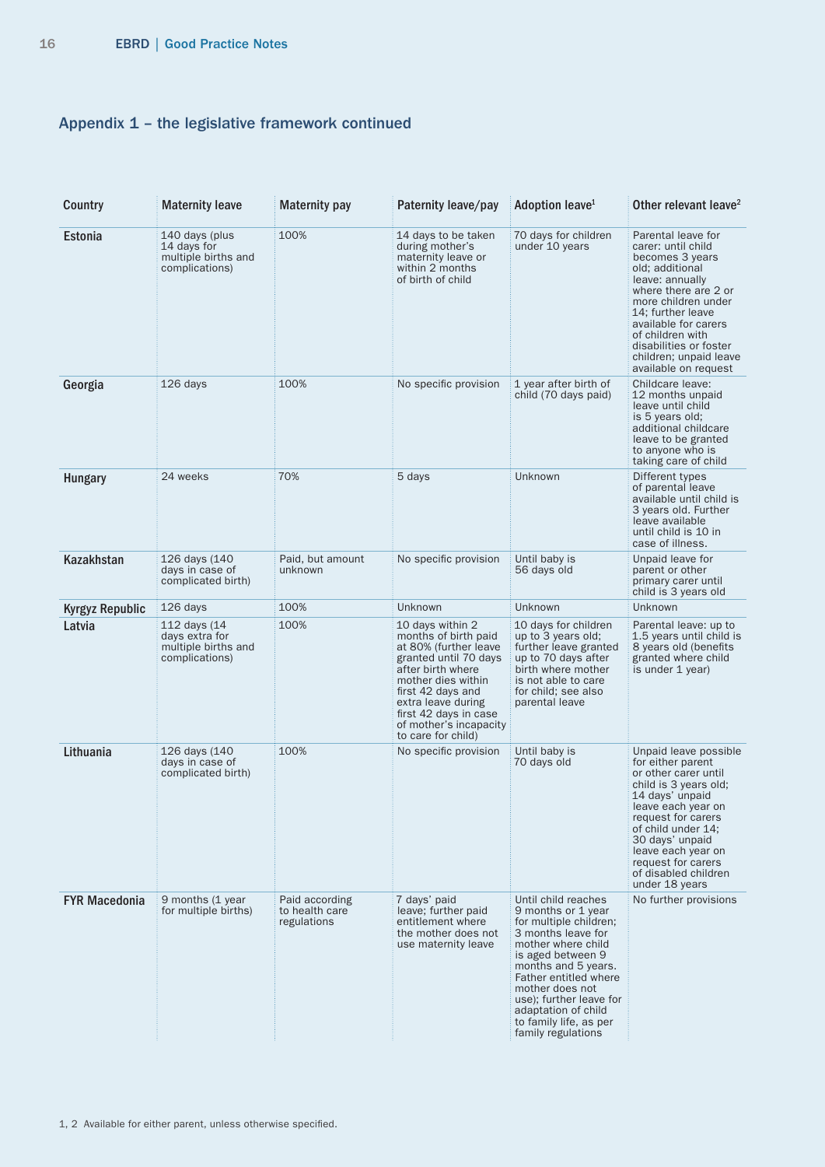# Appendix 1 – the legislative framework continued

| Country                | <b>Maternity leave</b>                                                  | <b>Maternity pay</b>                            | Paternity leave/pay                                                                                                                                                                                                                                       | Adoption leave <sup>1</sup>                                                                                                                                                                                                                                                                               | Other relevant leave <sup>2</sup>                                                                                                                                                                                                                                                             |
|------------------------|-------------------------------------------------------------------------|-------------------------------------------------|-----------------------------------------------------------------------------------------------------------------------------------------------------------------------------------------------------------------------------------------------------------|-----------------------------------------------------------------------------------------------------------------------------------------------------------------------------------------------------------------------------------------------------------------------------------------------------------|-----------------------------------------------------------------------------------------------------------------------------------------------------------------------------------------------------------------------------------------------------------------------------------------------|
| Estonia                | 140 days (plus<br>14 days for<br>multiple births and<br>complications)  | 100%                                            | 14 days to be taken<br>during mother's<br>maternity leave or<br>within 2 months<br>of birth of child                                                                                                                                                      | 70 days for children<br>under 10 years                                                                                                                                                                                                                                                                    | Parental leave for<br>carer: until child<br>becomes 3 years<br>old; additional<br>leave: annually<br>where there are 2 or<br>more children under<br>14; further leave<br>available for carers<br>of children with<br>disabilities or foster<br>children; unpaid leave<br>available on request |
| Georgia                | 126 days                                                                | 100%                                            | No specific provision                                                                                                                                                                                                                                     | 1 year after birth of<br>child (70 days paid)                                                                                                                                                                                                                                                             | Childcare leave:<br>12 months unpaid<br>leave until child<br>is 5 years old;<br>additional childcare<br>leave to be granted<br>to anyone who is<br>taking care of child                                                                                                                       |
| <b>Hungary</b>         | 24 weeks                                                                | 70%                                             | 5 days                                                                                                                                                                                                                                                    | Unknown                                                                                                                                                                                                                                                                                                   | Different types<br>of parental leave<br>available until child is<br>3 years old. Further<br>leave available<br>until child is 10 in<br>case of illness.                                                                                                                                       |
| Kazakhstan             | 126 days (140<br>days in case of<br>complicated birth)                  | Paid, but amount<br>unknown                     | No specific provision                                                                                                                                                                                                                                     | Until baby is<br>56 days old                                                                                                                                                                                                                                                                              | Unpaid leave for<br>parent or other<br>primary carer until<br>child is 3 years old                                                                                                                                                                                                            |
| <b>Kyrgyz Republic</b> | 126 days                                                                | 100%                                            | Unknown                                                                                                                                                                                                                                                   | Unknown                                                                                                                                                                                                                                                                                                   | Unknown                                                                                                                                                                                                                                                                                       |
| Latvia                 | 112 days (14<br>days extra for<br>multiple births and<br>complications) | 100%                                            | 10 days within 2<br>months of birth paid<br>at 80% (further leave<br>granted until 70 days<br>after birth where<br>mother dies within<br>first 42 days and<br>extra leave during<br>first 42 days in case<br>of mother's incapacity<br>to care for child) | 10 days for children<br>up to 3 years old;<br>further leave granted<br>up to 70 days after<br>birth where mother<br>is not able to care<br>for child; see also<br>parental leave                                                                                                                          | Parental leave: up to<br>1.5 years until child is<br>8 years old (benefits<br>granted where child<br>is under 1 year)                                                                                                                                                                         |
| Lithuania              | 126 days (140<br>days in case of<br>complicated birth)                  | 100%                                            | No specific provision                                                                                                                                                                                                                                     | Until baby is<br>70 days old                                                                                                                                                                                                                                                                              | Unpaid leave possible<br>for either parent<br>or other carer until<br>child is 3 years old;<br>14 days' unpaid<br>leave each year on<br>request for carers<br>of child under 14;<br>30 days' unpaid<br>leave each year on<br>request for carers<br>of disabled children<br>under 18 years     |
| <b>FYR Macedonia</b>   | 9 months (1 year<br>for multiple births)                                | Paid according<br>to health care<br>regulations | 7 days' paid<br>leave; further paid<br>entitlement where<br>the mother does not<br>use maternity leave                                                                                                                                                    | Until child reaches<br>9 months or 1 year<br>for multiple children;<br>3 months leave for<br>mother where child<br>is aged between 9<br>months and 5 years.<br>Father entitled where<br>mother does not<br>use); further leave for<br>adaptation of child<br>to family life, as per<br>family regulations | No further provisions                                                                                                                                                                                                                                                                         |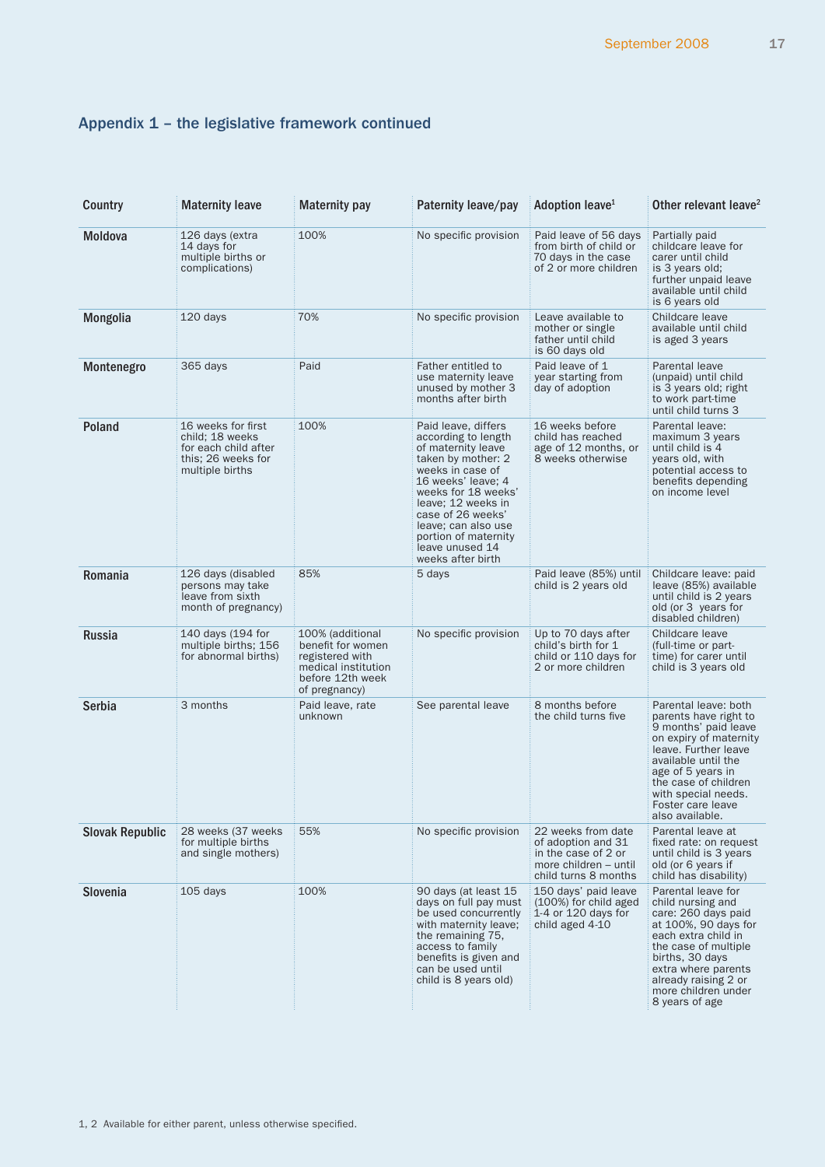# Appendix 1 – the legislative framework continued

| Country                | <b>Maternity leave</b>                                                                                 | <b>Maternity pay</b>                                                                                                 | Paternity leave/pay                                                                                                                                                                                                                                                                       | Adoption leave <sup>1</sup>                                                                                      | Other relevant leave <sup>2</sup>                                                                                                                                                                                                                          |
|------------------------|--------------------------------------------------------------------------------------------------------|----------------------------------------------------------------------------------------------------------------------|-------------------------------------------------------------------------------------------------------------------------------------------------------------------------------------------------------------------------------------------------------------------------------------------|------------------------------------------------------------------------------------------------------------------|------------------------------------------------------------------------------------------------------------------------------------------------------------------------------------------------------------------------------------------------------------|
| Moldova                | 126 days (extra<br>14 days for<br>multiple births or<br>complications)                                 | 100%                                                                                                                 | No specific provision                                                                                                                                                                                                                                                                     | Paid leave of 56 days<br>from birth of child or<br>70 days in the case<br>of 2 or more children                  | Partially paid<br>childcare leave for<br>carer until child<br>is 3 years old;<br>further unpaid leave<br>available until child<br>is 6 years old                                                                                                           |
| Mongolia               | 120 days                                                                                               | 70%                                                                                                                  | No specific provision                                                                                                                                                                                                                                                                     | Leave available to<br>mother or single<br>father until child<br>is 60 days old                                   | Childcare leave<br>available until child<br>is aged 3 years                                                                                                                                                                                                |
| Montenegro             | 365 days                                                                                               | Paid                                                                                                                 | Father entitled to<br>use maternity leave<br>unused by mother 3<br>months after birth                                                                                                                                                                                                     | Paid leave of 1<br>year starting from<br>day of adoption                                                         | Parental leave<br>(unpaid) until child<br>is 3 years old; right<br>to work part-time<br>until child turns 3                                                                                                                                                |
| <b>Poland</b>          | 16 weeks for first<br>child; 18 weeks<br>for each child after<br>this; 26 weeks for<br>multiple births | 100%                                                                                                                 | Paid leave, differs<br>according to length<br>of maternity leave<br>taken by mother: 2<br>weeks in case of<br>16 weeks' leave; 4<br>weeks for 18 weeks'<br>leave: 12 weeks in<br>case of 26 weeks'<br>leave; can also use<br>portion of maternity<br>leave unused 14<br>weeks after birth | 16 weeks before<br>child has reached<br>age of 12 months, or<br>8 weeks otherwise                                | Parental leave:<br>maximum 3 years<br>until child is 4<br>vears old, with<br>potential access to<br>benefits depending<br>on income level                                                                                                                  |
| Romania                | 126 days (disabled<br>persons may take<br>leave from sixth<br>month of pregnancy)                      | 85%                                                                                                                  | 5 days                                                                                                                                                                                                                                                                                    | Paid leave (85%) until<br>child is 2 years old                                                                   | Childcare leave: paid<br>leave (85%) available<br>until child is 2 years<br>old (or 3 years for<br>disabled children)                                                                                                                                      |
| Russia                 | 140 days (194 for<br>multiple births; 156<br>for abnormal births)                                      | 100% (additional<br>benefit for women<br>registered with<br>medical institution<br>before 12th week<br>of pregnancy) | No specific provision                                                                                                                                                                                                                                                                     | Up to 70 days after<br>child's birth for 1<br>child or 110 days for<br>2 or more children                        | Childcare leave<br>(full-time or part-<br>time) for carer until<br>child is 3 years old                                                                                                                                                                    |
| Serbia                 | 3 months                                                                                               | Paid leave, rate<br>unknown                                                                                          | See parental leave                                                                                                                                                                                                                                                                        | 8 months before<br>the child turns five                                                                          | Parental leave: both<br>parents have right to<br>9 months' paid leave<br>on expiry of maternity<br>leave. Further leave<br>available until the<br>age of 5 years in<br>the case of children<br>with special needs.<br>Foster care leave<br>also available. |
| <b>Slovak Republic</b> | 28 weeks (37 weeks<br>for multiple births<br>and single mothers)                                       | 55%                                                                                                                  | No specific provision                                                                                                                                                                                                                                                                     | 22 weeks from date<br>of adoption and 31<br>in the case of 2 or<br>more children - until<br>child turns 8 months | Parental leave at<br>fixed rate: on request<br>until child is 3 years<br>old (or 6 years if<br>child has disability)                                                                                                                                       |
| Slovenia               | $105$ days                                                                                             | 100%                                                                                                                 | 90 days (at least 15<br>days on full pay must<br>be used concurrently<br>with maternity leave;<br>the remaining 75.<br>access to family<br>benefits is given and<br>can be used until<br>child is 8 years old)                                                                            | 150 days' paid leave<br>(100%) for child aged<br>1-4 or $120$ days for<br>child aged 4-10                        | Parental leave for<br>child nursing and<br>care: 260 days paid<br>at 100%, 90 days for<br>each extra child in<br>the case of multiple<br>births, 30 days<br>extra where parents<br>already raising 2 or<br>more children under<br>8 years of age           |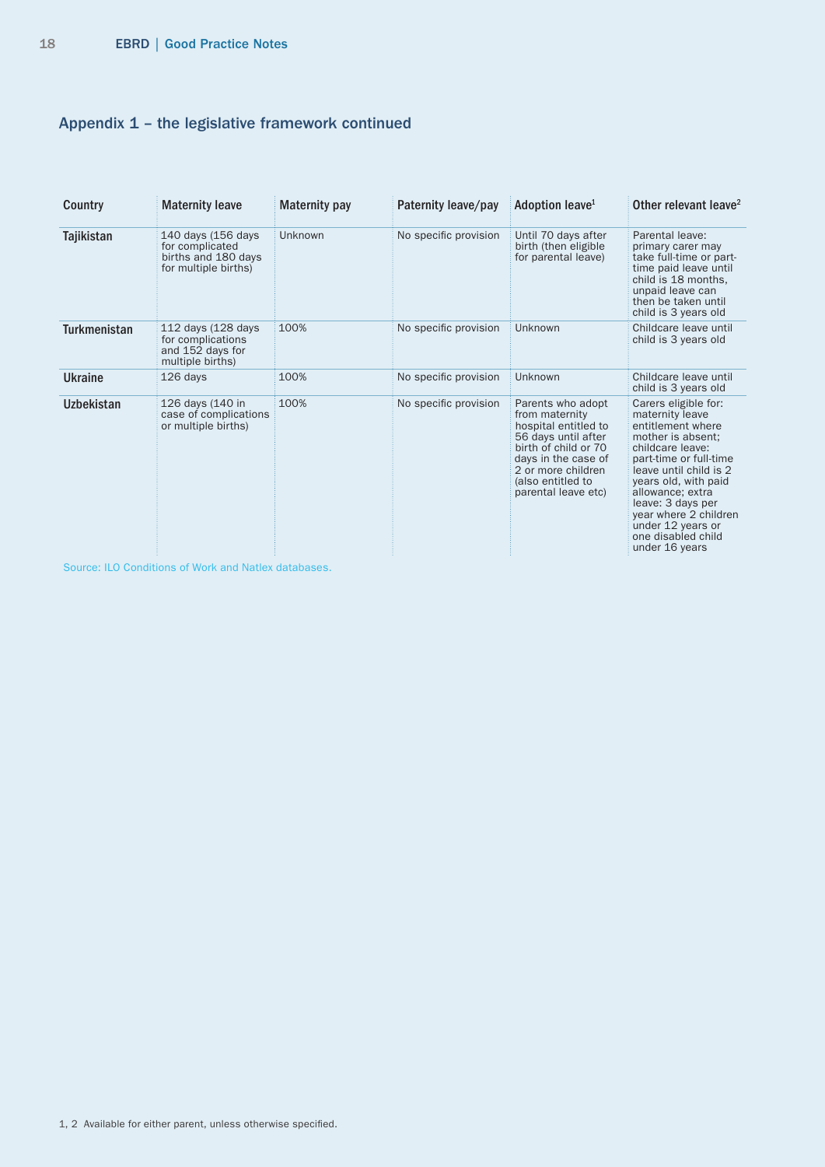# Appendix 1 – the legislative framework continued

| Country             | <b>Maternity leave</b>                                                               | Maternity pay | Paternity leave/pay   | Adoption leave <sup>1</sup>                                                                                                                                                                         | Other relevant leave <sup>2</sup>                                                                                                                                                                                                                                                                                |
|---------------------|--------------------------------------------------------------------------------------|---------------|-----------------------|-----------------------------------------------------------------------------------------------------------------------------------------------------------------------------------------------------|------------------------------------------------------------------------------------------------------------------------------------------------------------------------------------------------------------------------------------------------------------------------------------------------------------------|
| Tajikistan          | 140 days (156 days<br>for complicated<br>births and 180 days<br>for multiple births) | Unknown       | No specific provision | Until 70 days after<br>birth (then eligible<br>for parental leave)                                                                                                                                  | Parental leave:<br>primary carer may<br>take full-time or part-<br>time paid leave until<br>child is 18 months.<br>unpaid leave can<br>then be taken until<br>child is 3 years old                                                                                                                               |
| <b>Turkmenistan</b> | 112 days (128 days<br>for complications<br>and 152 days for<br>multiple births)      | 100%          | No specific provision | Unknown                                                                                                                                                                                             | Childcare leave until<br>child is 3 years old                                                                                                                                                                                                                                                                    |
| <b>Ukraine</b>      | 126 days                                                                             | 100%          | No specific provision | Unknown                                                                                                                                                                                             | Childcare leave until<br>child is 3 years old                                                                                                                                                                                                                                                                    |
| <b>Uzbekistan</b>   | 126 days (140 in<br>case of complications<br>or multiple births)                     | 100%          | No specific provision | Parents who adopt<br>from maternity<br>hospital entitled to<br>56 days until after<br>birth of child or 70<br>days in the case of<br>2 or more children<br>(also entitled to<br>parental leave etc) | Carers eligible for:<br>maternity leave<br>entitlement where<br>mother is absent:<br>childcare leave:<br>part-time or full-time<br>leave until child is 2<br>years old, with paid<br>allowance: extra<br>leave: 3 days per<br>year where 2 children<br>under 12 years or<br>one disabled child<br>under 16 years |

Source: ILO Conditions of Work and Natlex databases.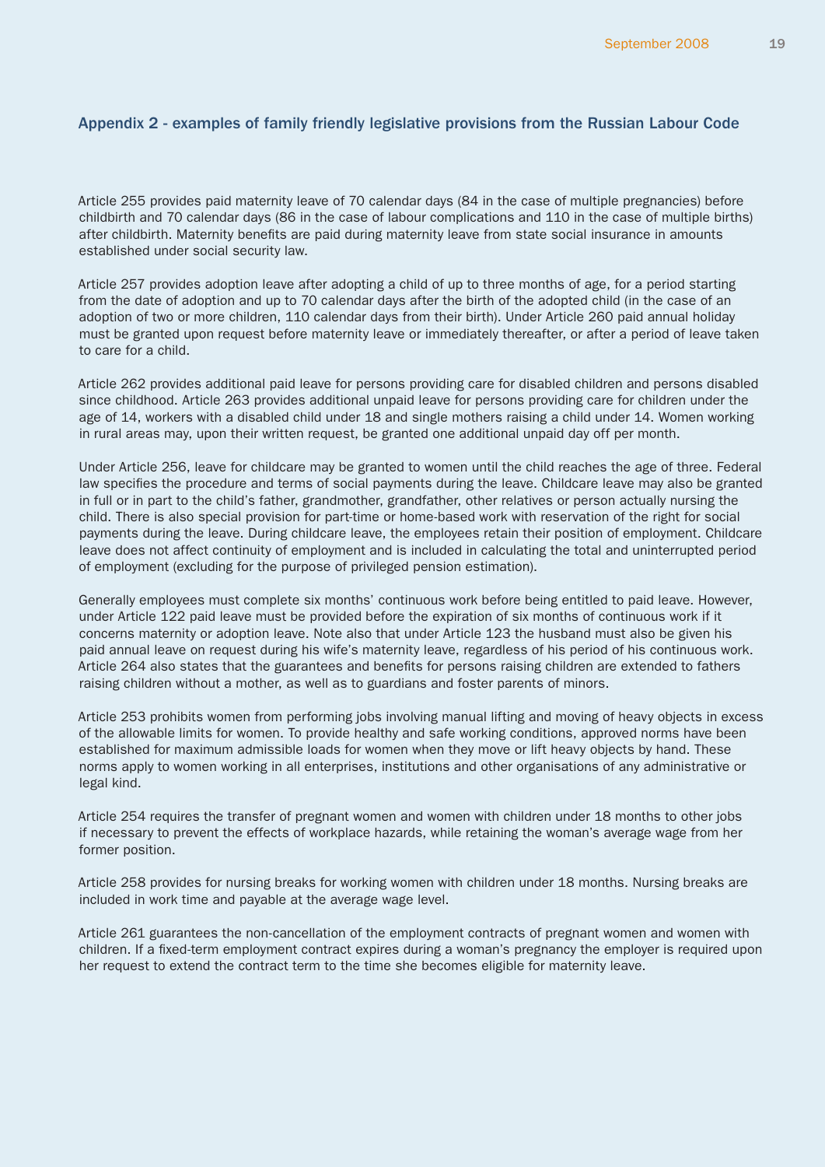# <span id="page-18-0"></span>Appendix 2 - examples of family friendly legislative provisions from the Russian Labour Code

Article 255 provides paid maternity leave of 70 calendar days (84 in the case of multiple pregnancies) before childbirth and 70 calendar days (86 in the case of labour complications and 110 in the case of multiple births) after childbirth. Maternity benefits are paid during maternity leave from state social insurance in amounts established under social security law.

Article 257 provides adoption leave after adopting a child of up to three months of age, for a period starting from the date of adoption and up to 70 calendar days after the birth of the adopted child (in the case of an adoption of two or more children, 110 calendar days from their birth). Under Article 260 paid annual holiday must be granted upon request before maternity leave or immediately thereafter, or after a period of leave taken to care for a child.

Article 262 provides additional paid leave for persons providing care for disabled children and persons disabled since childhood. Article 263 provides additional unpaid leave for persons providing care for children under the age of 14, workers with a disabled child under 18 and single mothers raising a child under 14. Women working in rural areas may, upon their written request, be granted one additional unpaid day off per month.

Under Article 256, leave for childcare may be granted to women until the child reaches the age of three. Federal law specifies the procedure and terms of social payments during the leave. Childcare leave may also be granted in full or in part to the child's father, grandmother, grandfather, other relatives or person actually nursing the child. There is also special provision for part-time or home-based work with reservation of the right for social payments during the leave. During childcare leave, the employees retain their position of employment. Childcare leave does not affect continuity of employment and is included in calculating the total and uninterrupted period of employment (excluding for the purpose of privileged pension estimation).

Generally employees must complete six months' continuous work before being entitled to paid leave. However, under Article 122 paid leave must be provided before the expiration of six months of continuous work if it concerns maternity or adoption leave. Note also that under Article 123 the husband must also be given his paid annual leave on request during his wife's maternity leave, regardless of his period of his continuous work. Article 264 also states that the guarantees and benefits for persons raising children are extended to fathers raising children without a mother, as well as to guardians and foster parents of minors.

Article 253 prohibits women from performing jobs involving manual lifting and moving of heavy objects in excess of the allowable limits for women. To provide healthy and safe working conditions, approved norms have been established for maximum admissible loads for women when they move or lift heavy objects by hand. These norms apply to women working in all enterprises, institutions and other organisations of any administrative or legal kind.

Article 254 requires the transfer of pregnant women and women with children under 18 months to other jobs if necessary to prevent the effects of workplace hazards, while retaining the woman's average wage from her former position.

Article 258 provides for nursing breaks for working women with children under 18 months. Nursing breaks are included in work time and payable at the average wage level.

Article 261 guarantees the non-cancellation of the employment contracts of pregnant women and women with children. If a fixed-term employment contract expires during a woman's pregnancy the employer is required upon her request to extend the contract term to the time she becomes eligible for maternity leave.